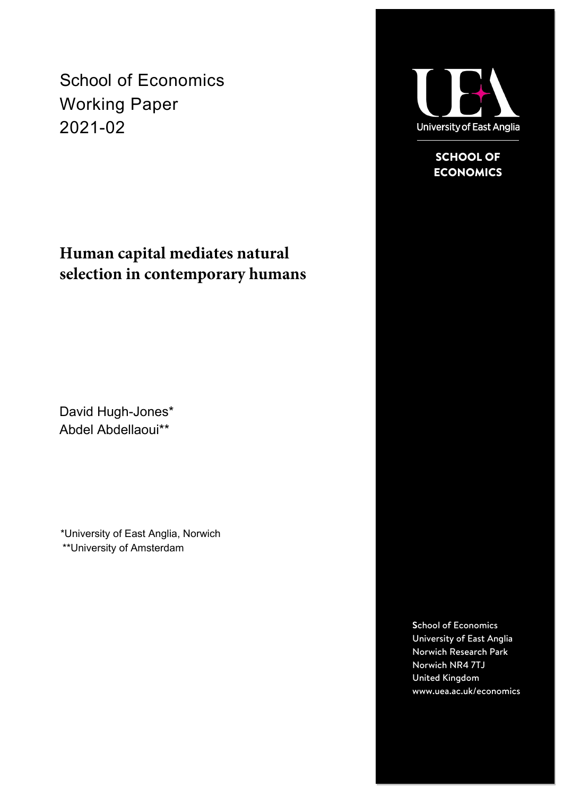School of Economics Working Paper 2021-02

# **Human capital mediates natural selection in contemporary humans**

David Hugh-Jones\* Abdel Abdellaoui\*\*

\*University of East Anglia, Norwich \*\*University of Amsterdam



SCHOOL OF **ECONOMICS** 

**S**chool of Economics University of East Anglia Norwich Research Park Norwich NR4 7TJ United Kingdom www.uea.ac.uk/economics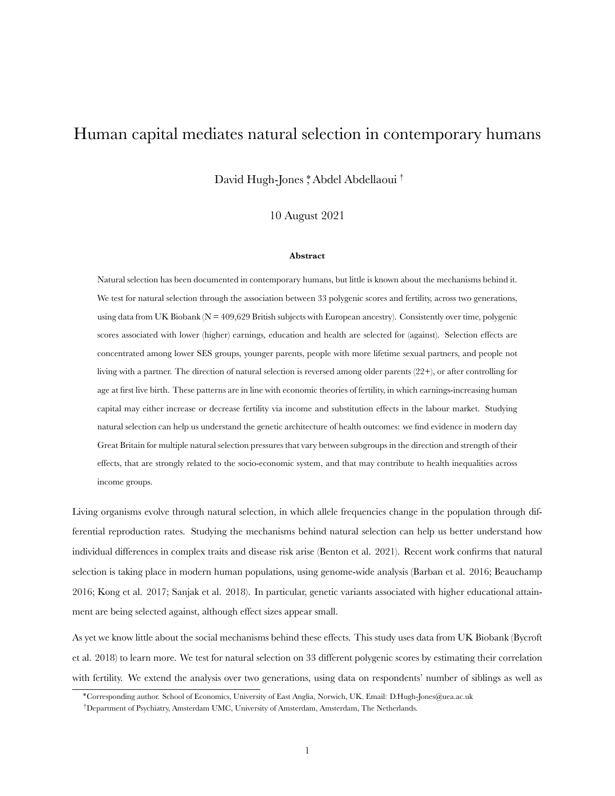# Human capital mediates natural selection in contemporary humans

David Hugh-Jones \*, Abdel Abdellaoui †

10 August 2021

#### **Abstract**

Natural selection has been documented in contemporary humans, but little is known about the mechanisms behind it. We test for natural selection through the association between 33 polygenic scores and fertility, across two generations, using data from UK Biobank ( $N = 409,629$  British subjects with European ancestry). Consistently over time, polygenic scores associated with lower (higher) earnings, education and health are selected for (against). Selection effects are concentrated among lower SES groups, younger parents, people with more lifetime sexual partners, and people not living with a partner. The direction of natural selection is reversed among older parents (22+), or after controlling for age at first live birth. These patterns are in line with economic theories of fertility, in which earnings-increasing human capital may either increase or decrease fertility via income and substitution effects in the labour market. Studying natural selection can help us understand the genetic architecture of health outcomes: we find evidence in modern day Great Britain for multiple natural selection pressures that vary between subgroups in the direction and strength of their effects, that are strongly related to the socio-economic system, and that may contribute to health inequalities across income groups.

Living organisms evolve through natural selection, in which allele frequencies change in the population through differential reproduction rates. Studying the mechanisms behind natural selection can help us better understand how individual differences in complex traits and disease risk arise (Benton et al. 2021). Recent work confirms that natural selection is taking place in modern human populations, using genome-wide analysis (Barban et al. 2016; Beauchamp 2016; Kong et al. 2017; Sanjak et al. 2018). In particular, genetic variants associated with higher educational attainment are being selected against, although effect sizes appear small.

As yet we know little about the social mechanisms behind these effects. This study uses data from UK Biobank (Bycroft et al. 2018) to learn more. We test for natural selection on 33 different polygenic scores by estimating their correlation with fertility. We extend the analysis over two generations, using data on respondents' number of siblings as well as

<sup>\*</sup>Corresponding author. School of Economics, University of East Anglia, Norwich, UK. Email: D.Hugh-Jones@uea.ac.uk

<sup>†</sup>Department of Psychiatry, Amsterdam UMC, University of Amsterdam, Amsterdam, The Netherlands.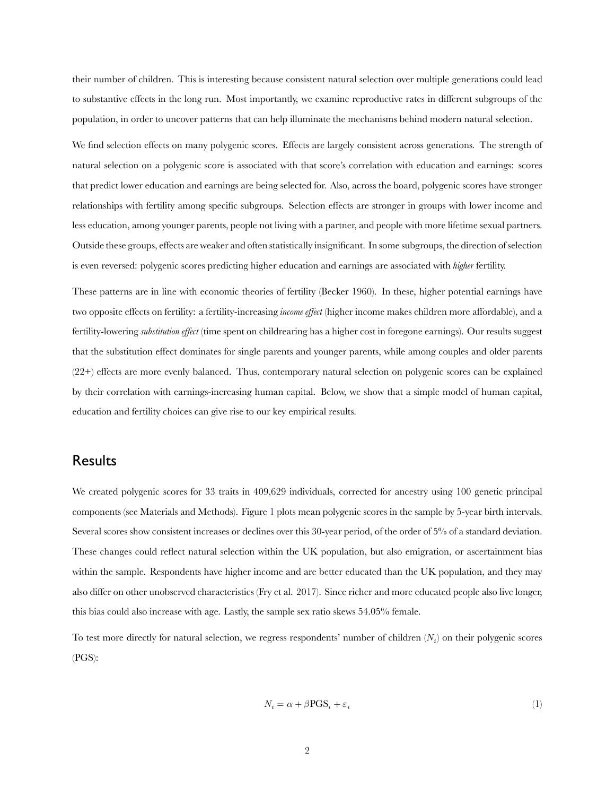their number of children. This is interesting because consistent natural selection over multiple generations could lead to substantive effects in the long run. Most importantly, we examine reproductive rates in different subgroups of the population, in order to uncover patterns that can help illuminate the mechanisms behind modern natural selection.

We find selection effects on many polygenic scores. Effects are largely consistent across generations. The strength of natural selection on a polygenic score is associated with that score's correlation with education and earnings: scores that predict lower education and earnings are being selected for. Also, across the board, polygenic scores have stronger relationships with fertility among specific subgroups. Selection effects are stronger in groups with lower income and less education, among younger parents, people not living with a partner, and people with more lifetime sexual partners. Outside these groups, effects are weaker and often statistically insignificant. In some subgroups, the direction of selection is even reversed: polygenic scores predicting higher education and earnings are associated with *higher* fertility.

These patterns are in line with economic theories of fertility (Becker 1960). In these, higher potential earnings have two opposite effects on fertility: a fertility-increasing *income effect* (higher income makes children more affordable), and a fertility-lowering *substitution effect* (time spent on childrearing has a higher cost in foregone earnings). Our results suggest that the substitution effect dominates for single parents and younger parents, while among couples and older parents (22+) effects are more evenly balanced. Thus, contemporary natural selection on polygenic scores can be explained by their correlation with earnings-increasing human capital. Below, we show that a simple model of human capital, education and fertility choices can give rise to our key empirical results.

## Results

We created polygenic scores for 33 traits in 409,629 individuals, corrected for ancestry using 100 genetic principal components (see Materials and Methods). Figure [1](#page-3-0) plots mean polygenic scores in the sample by 5-year birth intervals. Several scores show consistent increases or declines over this 30-year period, of the order of 5% of a standard deviation. These changes could reflect natural selection within the UK population, but also emigration, or ascertainment bias within the sample. Respondents have higher income and are better educated than the UK population, and they may also differ on other unobserved characteristics (Fry et al. 2017). Since richer and more educated people also live longer, this bias could also increase with age. Lastly, the sample sex ratio skews 54.05% female.

To test more directly for natural selection, we regress respondents' number of children  $(N_i)$  on their polygenic scores (PGS):

<span id="page-2-0"></span>
$$
N_i = \alpha + \beta \text{PGS}_i + \varepsilon_i \tag{1}
$$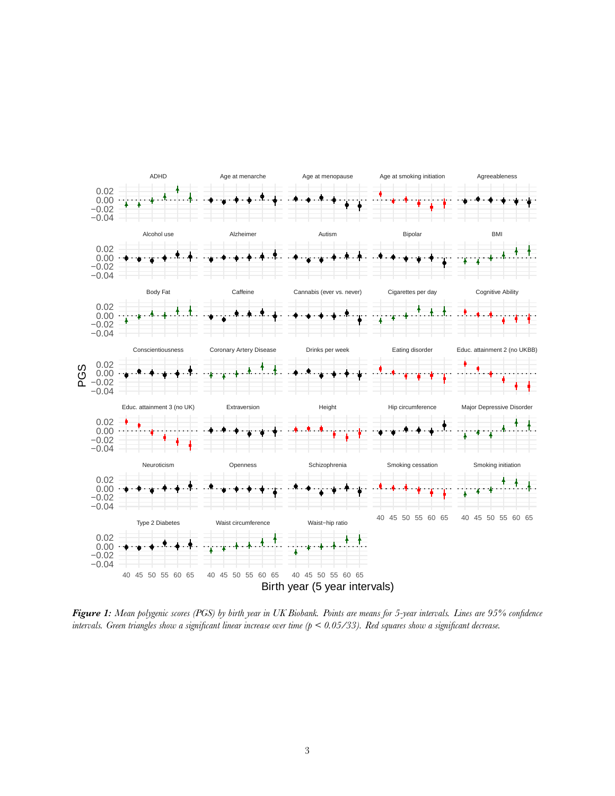<span id="page-3-0"></span>

*Figure 1: Mean polygenic scores (PGS) by birth year in UK Biobank. Points are means for 5-year intervals. Lines are 95% confidence intervals. Green triangles show a significant linear increase over time (p < 0.05/33). Red squares show a significant decrease.*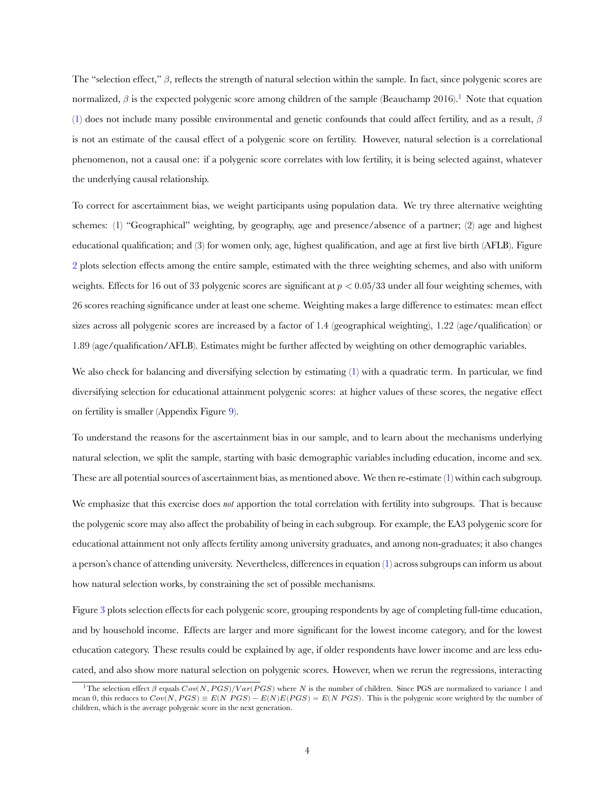The "selection effect,"  $\beta$ , reflects the strength of natural selection within the sample. In fact, since polygenic scores are normalized,  $\beta$  is the expected polygenic score among children of the sample (Beauchamp 2016).<sup>1</sup> Note that equation [\(1](#page-2-0)) does not include many possible environmental and genetic confounds that could affect fertility, and as a result,  $\beta$ is not an estimate of the causal effect of a polygenic score on fertility. However, natural selection is a correlational phenomenon, not a causal one: if a polygenic score correlates with low fertility, it is being selected against, whatever the underlying causal relationship.

To correct for ascertainment bias, we weight participants using population data. We try three alternative weighting schemes: (1) "Geographical" weighting, by geography, age and presence/absence of a partner; (2) age and highest educational qualification; and (3) for women only, age, highest qualification, and age at first live birth (AFLB). Figure [2](#page-5-0) plots selection effects among the entire sample, estimated with the three weighting schemes, and also with uniform weights. Effects for 16 out of 33 polygenic scores are significant at  $p < 0.05/33$  under all four weighting schemes, with 26 scores reaching significance under at least one scheme. Weighting makes a large difference to estimates: mean effect sizes across all polygenic scores are increased by a factor of 1.4 (geographical weighting), 1.22 (age/qualification) or 1.89 (age/qualification/AFLB). Estimates might be further affected by weighting on other demographic variables.

We also check for balancing and diversifying selection by estimating [\(1](#page-2-0)) with a quadratic term. In particular, we find diversifying selection for educational attainment polygenic scores: at higher values of these scores, the negative effect on fertility is smaller (Appendix Figure [9\)](#page-20-0).

To understand the reasons for the ascertainment bias in our sample, and to learn about the mechanisms underlying natural selection, we split the sample, starting with basic demographic variables including education, income and sex. These are all potential sources of ascertainment bias, as mentioned above. We then re-estimate [\(1](#page-2-0)) within each subgroup.

We emphasize that this exercise does *not* apportion the total correlation with fertility into subgroups. That is because the polygenic score may also affect the probability of being in each subgroup. For example, the EA3 polygenic score for educational attainment not only affects fertility among university graduates, and among non-graduates; it also changes a person's chance of attending university. Nevertheless, differences in equation [\(1](#page-2-0)) across subgroups can inform us about how natural selection works, by constraining the set of possible mechanisms.

Figure [3](#page-6-0) plots selection effects for each polygenic score, grouping respondents by age of completing full-time education, and by household income. Effects are larger and more significant for the lowest income category, and for the lowest education category. These results could be explained by age, if older respondents have lower income and are less educated, and also show more natural selection on polygenic scores. However, when we rerun the regressions, interacting

<sup>&</sup>lt;sup>1</sup>The selection effect  $\beta$  equals  $Cov(N, PGS)/Var(PGS)$  where N is the number of children. Since PGS are normalized to variance 1 and mean 0, this reduces to  $Cov(N, PGS) = E(N|PGS) - E(N)E(PGS) = E(N|PGS)$ . This is the polygenic score weighted by the number of children, which is the average polygenic score in the next generation.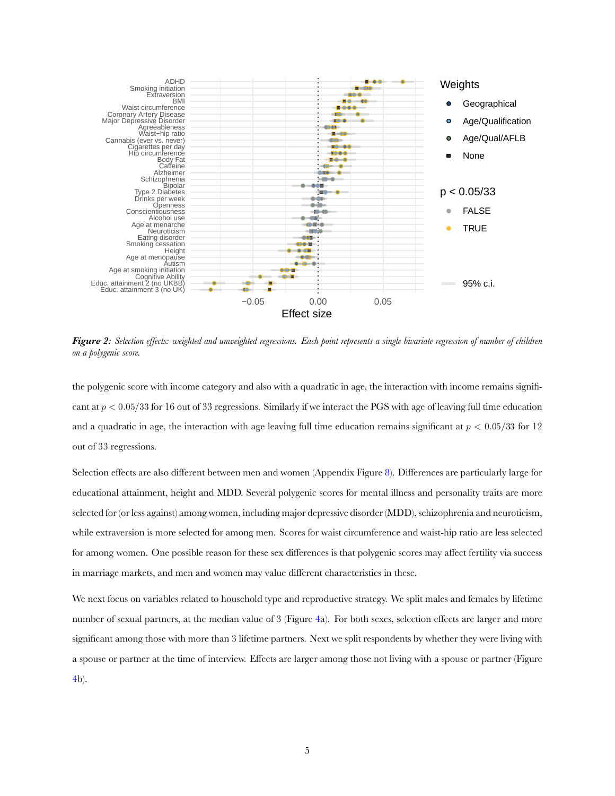<span id="page-5-0"></span>

*Figure 2: Selection effects: weighted and unweighted regressions. Each point represents a single bivariate regression of number of children on a polygenic score.*

the polygenic score with income category and also with a quadratic in age, the interaction with income remains significant at  $p < 0.05/33$  for 16 out of 33 regressions. Similarly if we interact the PGS with age of leaving full time education and a quadratic in age, the interaction with age leaving full time education remains significant at  $p < 0.05/33$  for 12 out of 33 regressions.

Selection effects are also different between men and women (Appendix Figure [8](#page-18-0)). Differences are particularly large for educational attainment, height and MDD. Several polygenic scores for mental illness and personality traits are more selected for (or less against) among women, including major depressive disorder (MDD), schizophrenia and neuroticism, while extraversion is more selected for among men. Scores for waist circumference and waist-hip ratio are less selected for among women. One possible reason for these sex differences is that polygenic scores may affect fertility via success in marriage markets, and men and women may value different characteristics in these.

We next focus on variables related to household type and reproductive strategy. We split males and females by lifetime number of sexual partners, at the median value of 3 (Figure [4](#page-8-0)a). For both sexes, selection effects are larger and more significant among those with more than 3 lifetime partners. Next we split respondents by whether they were living with a spouse or partner at the time of interview. Effects are larger among those not living with a spouse or partner (Figure [4b](#page-8-0)).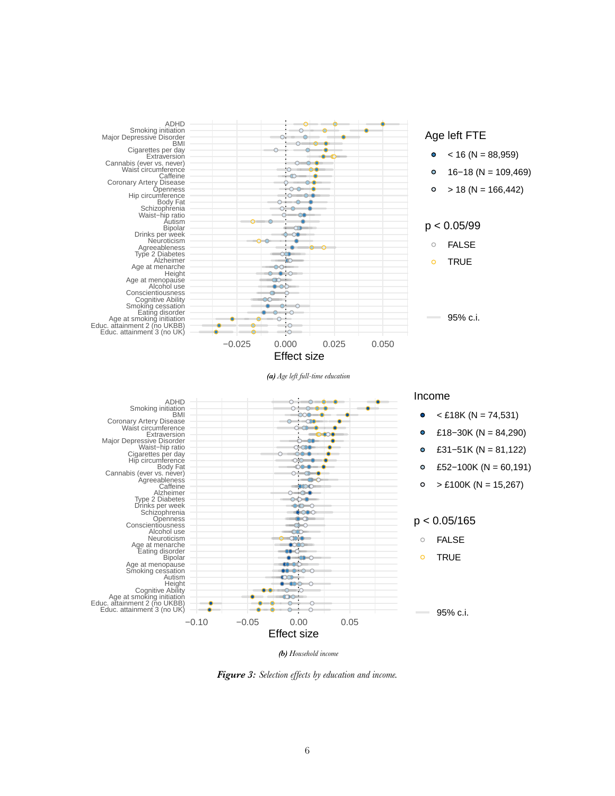<span id="page-6-0"></span>

*(b) Household income*

*Figure 3: Selection effects by education and income.*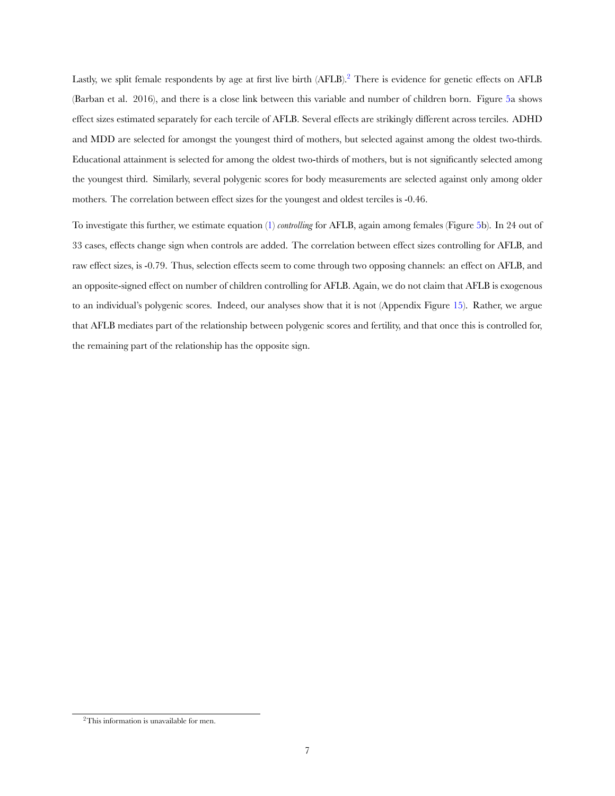Lastly, we split female respondents by age at first live birth (AFLB).<sup>2</sup> There is evidence for genetic effects on AFLB (Barban et al. 2016), and there is a close link between this variable and number of children born. Figure [5a](#page-9-0) shows effect sizes estimated separately for each tercile of AFLB. Several effects are strikingly different across terciles. ADHD and MDD are selected for amongst the youngest third of mothers, but selected against among the oldest two-thirds. Educational attainment is selected for among the oldest two-thirds of mothers, but is not significantly selected among the youngest third. Similarly, several polygenic scores for body measurements are selected against only among older mothers. The correlation between effect sizes for the youngest and oldest terciles is -0.46.

To investigate this further, we estimate equation [\(1](#page-2-0)) *controlling* for AFLB, again among females (Figure [5](#page-9-0)b). In 24 out of 33 cases, effects change sign when controls are added. The correlation between effect sizes controlling for AFLB, and raw effect sizes, is -0.79. Thus, selection effects seem to come through two opposing channels: an effect on AFLB, and an opposite-signed effect on number of children controlling for AFLB. Again, we do not claim that AFLB is exogenous to an individual's polygenic scores. Indeed, our analyses show that it is not (Appendix Figure [15](#page-26-0)). Rather, we argue that AFLB mediates part of the relationship between polygenic scores and fertility, and that once this is controlled for, the remaining part of the relationship has the opposite sign.

<sup>2</sup>This information is unavailable for men.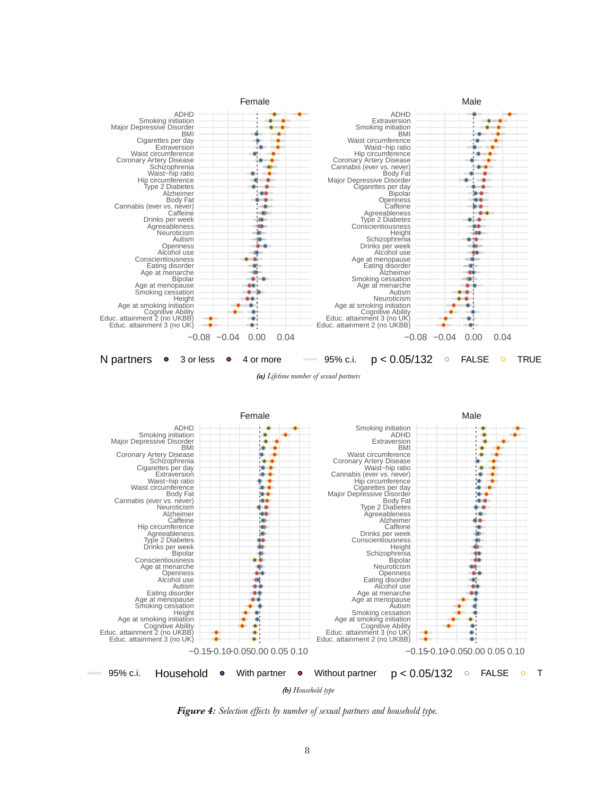<span id="page-8-0"></span>





*Figure 4: Selection effects by number of sexual partners and household type.*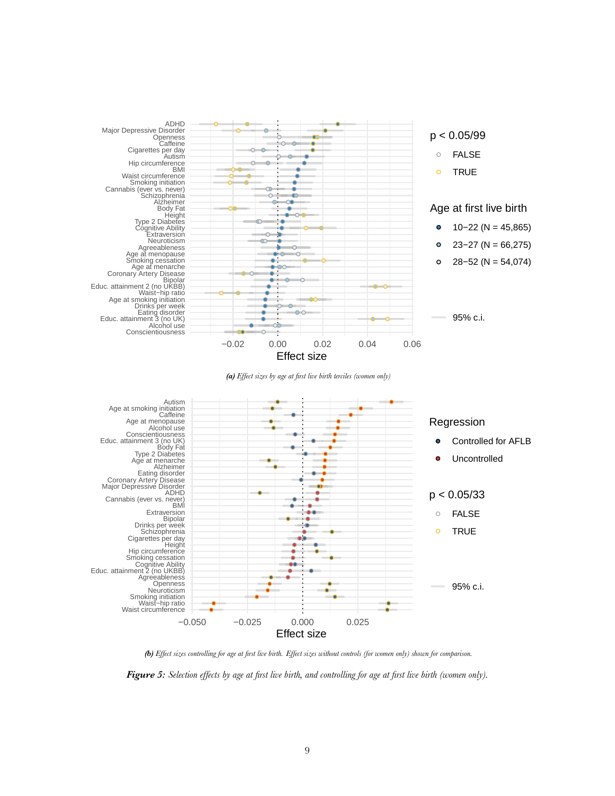<span id="page-9-0"></span>

*(b) Effect sizes controlling for age at first live birth. Effect sizes without controls (for women only) shown for comparison.*

*Figure 5: Selection effects by age at first live birth, and controlling for age at first live birth (women only).*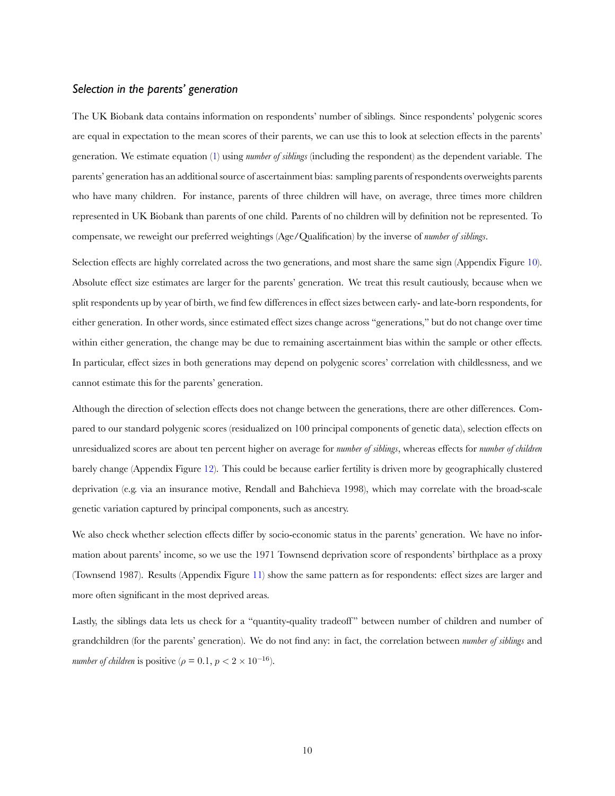#### *Selection in the parents' generation*

The UK Biobank data contains information on respondents' number of siblings. Since respondents' polygenic scores are equal in expectation to the mean scores of their parents, we can use this to look at selection effects in the parents' generation. We estimate equation [\(1](#page-2-0)) using *number of siblings* (including the respondent) as the dependent variable. The parents' generation has an additional source of ascertainment bias: sampling parents of respondents overweights parents who have many children. For instance, parents of three children will have, on average, three times more children represented in UK Biobank than parents of one child. Parents of no children will by definition not be represented. To compensate, we reweight our preferred weightings (Age/Qualification) by the inverse of *number of siblings*.

Selection effects are highly correlated across the two generations, and most share the same sign (Appendix Figure [10](#page-21-0)). Absolute effect size estimates are larger for the parents' generation. We treat this result cautiously, because when we split respondents up by year of birth, we find few differences in effect sizes between early- and late-born respondents, for either generation. In other words, since estimated effect sizes change across "generations," but do not change over time within either generation, the change may be due to remaining ascertainment bias within the sample or other effects. In particular, effect sizes in both generations may depend on polygenic scores' correlation with childlessness, and we cannot estimate this for the parents' generation.

Although the direction of selection effects does not change between the generations, there are other differences. Compared to our standard polygenic scores (residualized on 100 principal components of genetic data), selection effects on unresidualized scores are about ten percent higher on average for *number of siblings*, whereas effects for *number of children* barely change (Appendix Figure [12\)](#page-23-0). This could be because earlier fertility is driven more by geographically clustered deprivation (e.g. via an insurance motive, Rendall and Bahchieva 1998), which may correlate with the broad-scale genetic variation captured by principal components, such as ancestry.

We also check whether selection effects differ by socio-economic status in the parents' generation. We have no information about parents' income, so we use the 1971 Townsend deprivation score of respondents' birthplace as a proxy (Townsend 1987). Results (Appendix Figure [11](#page-22-0)) show the same pattern as for respondents: effect sizes are larger and more often significant in the most deprived areas.

Lastly, the siblings data lets us check for a "quantity-quality tradeoff" between number of children and number of grandchildren (for the parents' generation). We do not find any: in fact, the correlation between *number of siblings* and *number of children* is positive ( $\rho = 0.1$ ,  $p < 2 \times 10^{-16}$ ).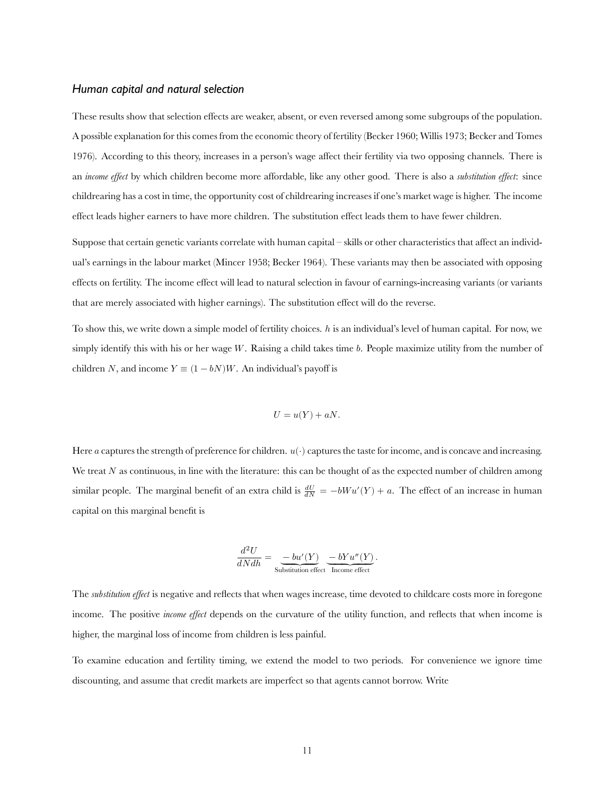#### *Human capital and natural selection*

These results show that selection effects are weaker, absent, or even reversed among some subgroups of the population. A possible explanation for this comes from the economic theory of fertility (Becker 1960; Willis 1973; Becker and Tomes 1976). According to this theory, increases in a person's wage affect their fertility via two opposing channels. There is an *income effect* by which children become more affordable, like any other good. There is also a *substitution effect*: since childrearing has a cost in time, the opportunity cost of childrearing increases if one's market wage is higher. The income effect leads higher earners to have more children. The substitution effect leads them to have fewer children.

Suppose that certain genetic variants correlate with human capital – skills or other characteristics that affect an individual's earnings in the labour market (Mincer 1958; Becker 1964). These variants may then be associated with opposing effects on fertility. The income effect will lead to natural selection in favour of earnings-increasing variants (or variants that are merely associated with higher earnings). The substitution effect will do the reverse.

To show this, we write down a simple model of fertility choices. h is an individual's level of human capital. For now, we simply identify this with his or her wage  $W$ . Raising a child takes time  $b$ . People maximize utility from the number of children N, and income  $Y \equiv (1 - bN)W$ . An individual's payoff is

$$
U = u(Y) + aN.
$$

Here *a* captures the strength of preference for children.  $u(\cdot)$  captures the taste for income, and is concave and increasing. We treat  $N$  as continuous, in line with the literature: this can be thought of as the expected number of children among similar people. The marginal benefit of an extra child is  $\frac{dU}{dN} = -bWu'(Y) + a$ . The effect of an increase in human capital on this marginal benefit is

$$
\frac{d^2U}{dNdh} = \underbrace{-bu'(Y)}_{\text{Substitution effect}} \underbrace{-bYu''(Y)}_{\text{Income effect}}.
$$

The *substitution effect* is negative and reflects that when wages increase, time devoted to childcare costs more in foregone income. The positive *income effect* depends on the curvature of the utility function, and reflects that when income is higher, the marginal loss of income from children is less painful.

To examine education and fertility timing, we extend the model to two periods. For convenience we ignore time discounting, and assume that credit markets are imperfect so that agents cannot borrow. Write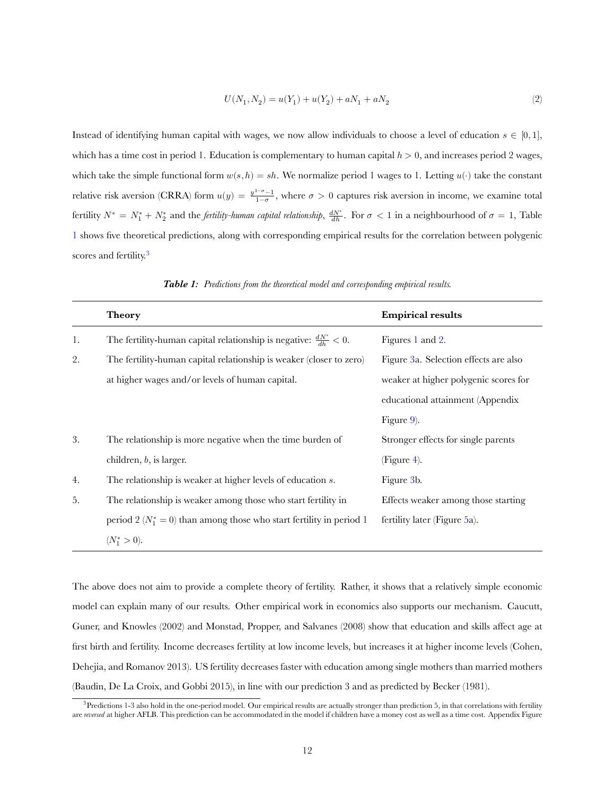<span id="page-12-1"></span>
$$
U(N_1, N_2) = u(Y_1) + u(Y_2) + aN_1 + aN_2
$$
\n<sup>(2)</sup>

Instead of identifying human capital with wages, we now allow individuals to choose a level of education  $s \in [0,1]$ , which has a time cost in period 1. Education is complementary to human capital  $h > 0$ , and increases period 2 wages, which take the simple functional form  $w(s, h) = sh$ . We normalize period 1 wages to 1. Letting  $u(\cdot)$  take the constant relative risk aversion (CRRA) form  $u(y) = \frac{y^{1-\sigma}-1}{1-\sigma}$ , where  $\sigma > 0$  captures risk aversion in income, we examine total fertility  $N^* = N_1^* + N_2^*$  and the *fertility-human capital relationship*,  $\frac{dN^*}{dh}$ . For  $\sigma < 1$  in a neighbourhood of  $\sigma = 1$ , Table [1](#page-12-0) shows five theoretical predictions, along with corresponding empirical results for the correlation between polygenic scores and fertility.<sup>3</sup>

<span id="page-12-0"></span>

| Figure 3a. Selection effects are also |
|---------------------------------------|
| weaker at higher polygenic scores for |
| educational attainment (Appendix      |
|                                       |
| Stronger effects for single parents   |
|                                       |
|                                       |
| Effects weaker among those starting   |
|                                       |
|                                       |
|                                       |

*Table 1: Predictions from the theoretical model and corresponding empirical results.*

The above does not aim to provide a complete theory of fertility. Rather, it shows that a relatively simple economic model can explain many of our results. Other empirical work in economics also supports our mechanism. Caucutt, Guner, and Knowles (2002) and Monstad, Propper, and Salvanes (2008) show that education and skills affect age at first birth and fertility. Income decreases fertility at low income levels, but increases it at higher income levels (Cohen, Dehejia, and Romanov 2013). US fertility decreases faster with education among single mothers than married mothers (Baudin, De La Croix, and Gobbi 2015), in line with our prediction 3 and as predicted by Becker (1981).

 $3$ Predictions 1-3 also hold in the one-period model. Our empirical results are actually stronger than prediction 5, in that correlations with fertility are *reversed* at higher AFLB. This prediction can be accommodated in the model if children have a money cost as well as a time cost. Appendix Figure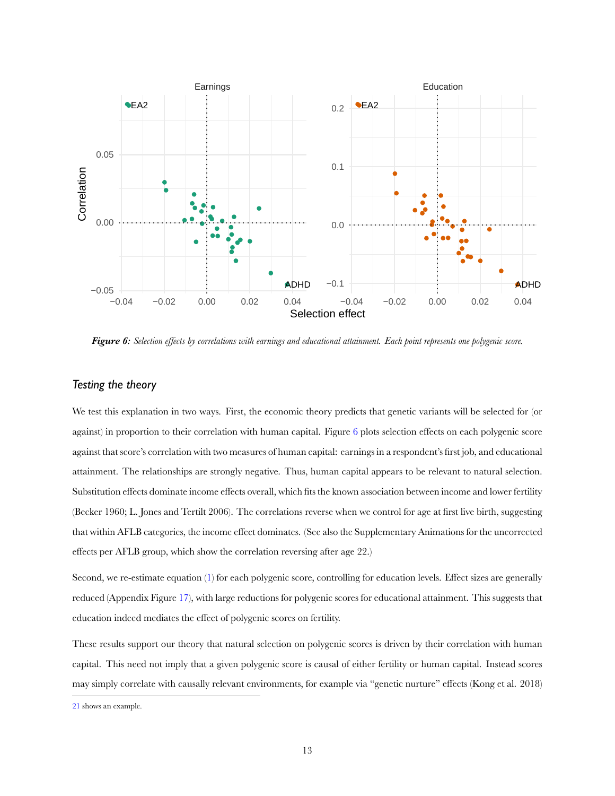<span id="page-13-0"></span>

*Figure 6: Selection effects by correlations with earnings and educational attainment. Each point represents one polygenic score.*

### *Testing the theory*

We test this explanation in two ways. First, the economic theory predicts that genetic variants will be selected for (or against) in proportion to their correlation with human capital. Figure [6](#page-13-0) plots selection effects on each polygenic score against that score's correlation with two measures of human capital: earnings in a respondent's first job, and educational attainment. The relationships are strongly negative. Thus, human capital appears to be relevant to natural selection. Substitution effects dominate income effects overall, which fits the known association between income and lower fertility (Becker 1960; L. Jones and Tertilt 2006). The correlations reverse when we control for age at first live birth, suggesting that within AFLB categories, the income effect dominates. (See also the Supplementary Animations for the uncorrected effects per AFLB group, which show the correlation reversing after age 22.)

Second, we re-estimate equation([1\)](#page-2-0) for each polygenic score, controlling for education levels. Effect sizes are generally reduced (Appendix Figure [17\)](#page-28-0), with large reductions for polygenic scores for educational attainment. This suggests that education indeed mediates the effect of polygenic scores on fertility.

These results support our theory that natural selection on polygenic scores is driven by their correlation with human capital. This need not imply that a given polygenic score is causal of either fertility or human capital. Instead scores may simply correlate with causally relevant environments, for example via "genetic nurture" effects (Kong et al. 2018)

[<sup>21</sup>](#page-41-0) shows an example.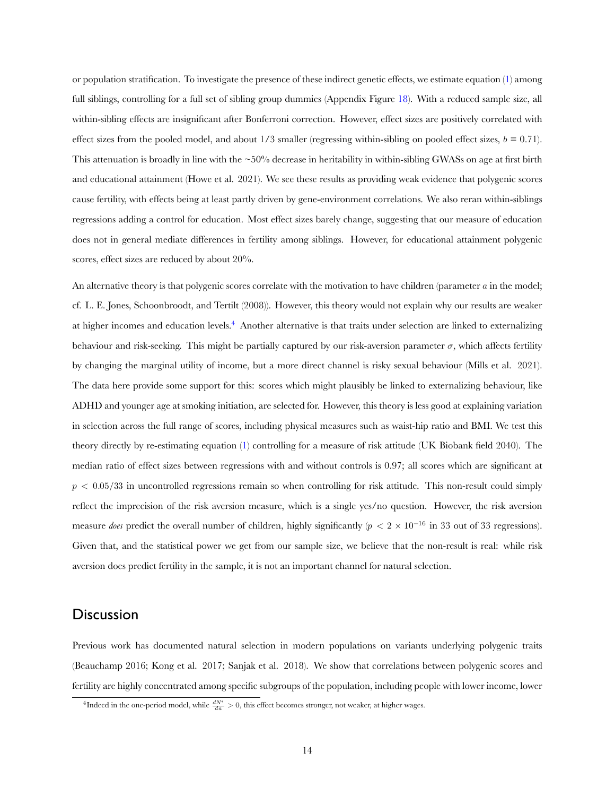or population stratification. To investigate the presence of these indirect genetic effects, we estimate equation [\(1\)](#page-2-0) among full siblings, controlling for a full set of sibling group dummies (Appendix Figure [18](#page-29-0)). With a reduced sample size, all within-sibling effects are insignificant after Bonferroni correction. However, effect sizes are positively correlated with effect sizes from the pooled model, and about  $1/3$  smaller (regressing within-sibling on pooled effect sizes,  $b = 0.71$ ). This attenuation is broadly in line with the  $\sim$ 50% decrease in heritability in within-sibling GWASs on age at first birth and educational attainment (Howe et al. 2021). We see these results as providing weak evidence that polygenic scores cause fertility, with effects being at least partly driven by gene-environment correlations. We also reran within-siblings regressions adding a control for education. Most effect sizes barely change, suggesting that our measure of education does not in general mediate differences in fertility among siblings. However, for educational attainment polygenic scores, effect sizes are reduced by about 20%.

An alternative theory is that polygenic scores correlate with the motivation to have children (parameter  $a$  in the model; cf. L. E. Jones, Schoonbroodt, and Tertilt (2008)). However, this theory would not explain why our results are weaker at higher incomes and education levels.4 Another alternative is that traits under selection are linked to externalizing behaviour and risk-seeking. This might be partially captured by our risk-aversion parameter  $\sigma$ , which affects fertility by changing the marginal utility of income, but a more direct channel is risky sexual behaviour (Mills et al. 2021). The data here provide some support for this: scores which might plausibly be linked to externalizing behaviour, like ADHD and younger age at smoking initiation, are selected for. However, this theory is less good at explaining variation in selection across the full range of scores, including physical measures such as waist-hip ratio and BMI. We test this theory directly by re-estimating equation [\(1](#page-2-0)) controlling for a measure of risk attitude (UK Biobank field 2040). The median ratio of effect sizes between regressions with and without controls is 0.97; all scores which are significant at  $p < 0.05/33$  in uncontrolled regressions remain so when controlling for risk attitude. This non-result could simply reflect the imprecision of the risk aversion measure, which is a single yes/no question. However, the risk aversion measure *does* predict the overall number of children, highly significantly ( $p$  < 2 × 10<sup>−16</sup> in 33 out of 33 regressions). Given that, and the statistical power we get from our sample size, we believe that the non-result is real: while risk aversion does predict fertility in the sample, it is not an important channel for natural selection.

## **Discussion**

Previous work has documented natural selection in modern populations on variants underlying polygenic traits (Beauchamp 2016; Kong et al. 2017; Sanjak et al. 2018). We show that correlations between polygenic scores and fertility are highly concentrated among specific subgroups of the population, including people with lower income, lower

<sup>&</sup>lt;sup>4</sup>Indeed in the one-period model, while  $\frac{dN^*}{da} > 0$ , this effect becomes stronger, not weaker, at higher wages.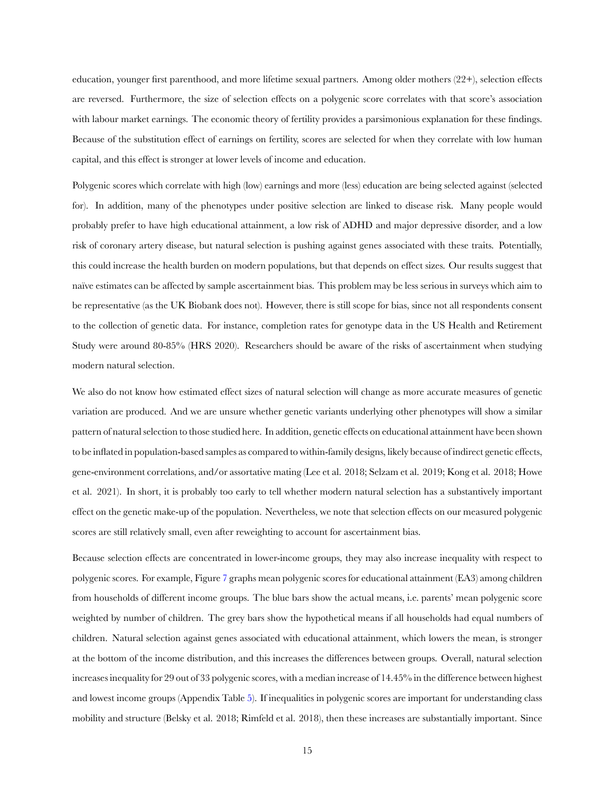education, younger first parenthood, and more lifetime sexual partners. Among older mothers (22+), selection effects are reversed. Furthermore, the size of selection effects on a polygenic score correlates with that score's association with labour market earnings. The economic theory of fertility provides a parsimonious explanation for these findings. Because of the substitution effect of earnings on fertility, scores are selected for when they correlate with low human capital, and this effect is stronger at lower levels of income and education.

Polygenic scores which correlate with high (low) earnings and more (less) education are being selected against (selected for). In addition, many of the phenotypes under positive selection are linked to disease risk. Many people would probably prefer to have high educational attainment, a low risk of ADHD and major depressive disorder, and a low risk of coronary artery disease, but natural selection is pushing against genes associated with these traits. Potentially, this could increase the health burden on modern populations, but that depends on effect sizes. Our results suggest that naïve estimates can be affected by sample ascertainment bias. This problem may be less serious in surveys which aim to be representative (as the UK Biobank does not). However, there is still scope for bias, since not all respondents consent to the collection of genetic data. For instance, completion rates for genotype data in the US Health and Retirement Study were around 80-85% (HRS 2020). Researchers should be aware of the risks of ascertainment when studying modern natural selection.

We also do not know how estimated effect sizes of natural selection will change as more accurate measures of genetic variation are produced. And we are unsure whether genetic variants underlying other phenotypes will show a similar pattern of natural selection to those studied here. In addition, genetic effects on educational attainment have been shown to be inflated in population-based samples as compared to within-family designs, likely because of indirect genetic effects, gene-environment correlations, and/or assortative mating (Lee et al. 2018; Selzam et al. 2019; Kong et al. 2018; Howe et al. 2021). In short, it is probably too early to tell whether modern natural selection has a substantively important effect on the genetic make-up of the population. Nevertheless, we note that selection effects on our measured polygenic scores are still relatively small, even after reweighting to account for ascertainment bias.

Because selection effects are concentrated in lower-income groups, they may also increase inequality with respect to polygenic scores. For example, Figure [7](#page-16-0) graphs mean polygenic scores for educational attainment (EA3) among children from households of different income groups. The blue bars show the actual means, i.e. parents' mean polygenic score weighted by number of children. The grey bars show the hypothetical means if all households had equal numbers of children. Natural selection against genes associated with educational attainment, which lowers the mean, is stronger at the bottom of the income distribution, and this increases the differences between groups. Overall, natural selection increases inequality for 29 out of 33 polygenic scores, with a median increase of 14.45% in the difference between highest and lowest income groups (Appendix Table [5](#page-31-0)). If inequalities in polygenic scores are important for understanding class mobility and structure (Belsky et al. 2018; Rimfeld et al. 2018), then these increases are substantially important. Since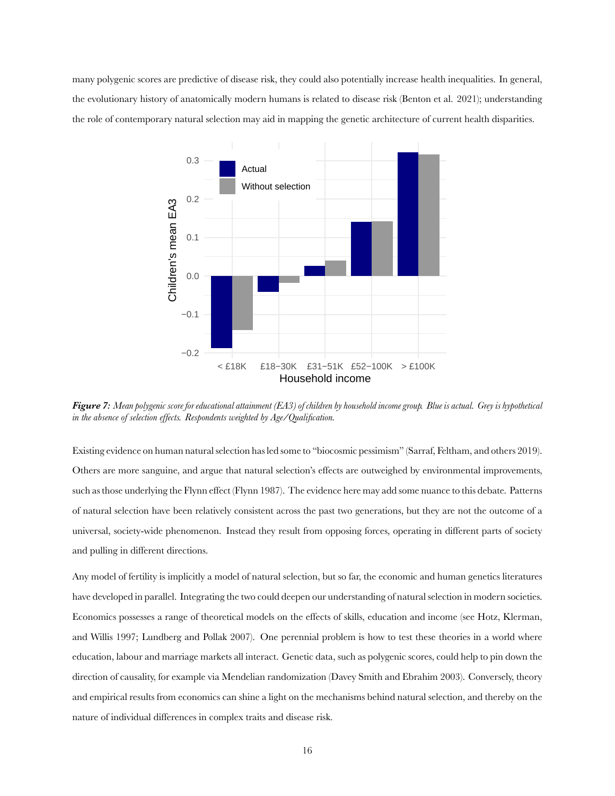<span id="page-16-0"></span>many polygenic scores are predictive of disease risk, they could also potentially increase health inequalities. In general, the evolutionary history of anatomically modern humans is related to disease risk (Benton et al. 2021); understanding the role of contemporary natural selection may aid in mapping the genetic architecture of current health disparities.



*Figure 7: Mean polygenic score for educational attainment (EA3) of children by household income group. Blue is actual. Grey is hypothetical in the absence of selection effects. Respondents weighted by Age/Qualification.*

Existing evidence on human natural selection has led some to "biocosmic pessimism" (Sarraf, Feltham, and others 2019). Others are more sanguine, and argue that natural selection's effects are outweighed by environmental improvements, such as those underlying the Flynn effect (Flynn 1987). The evidence here may add some nuance to this debate. Patterns of natural selection have been relatively consistent across the past two generations, but they are not the outcome of a universal, society-wide phenomenon. Instead they result from opposing forces, operating in different parts of society and pulling in different directions.

Any model of fertility is implicitly a model of natural selection, but so far, the economic and human genetics literatures have developed in parallel. Integrating the two could deepen our understanding of natural selection in modern societies. Economics possesses a range of theoretical models on the effects of skills, education and income (see Hotz, Klerman, and Willis 1997; Lundberg and Pollak 2007). One perennial problem is how to test these theories in a world where education, labour and marriage markets all interact. Genetic data, such as polygenic scores, could help to pin down the direction of causality, for example via Mendelian randomization (Davey Smith and Ebrahim 2003). Conversely, theory and empirical results from economics can shine a light on the mechanisms behind natural selection, and thereby on the nature of individual differences in complex traits and disease risk.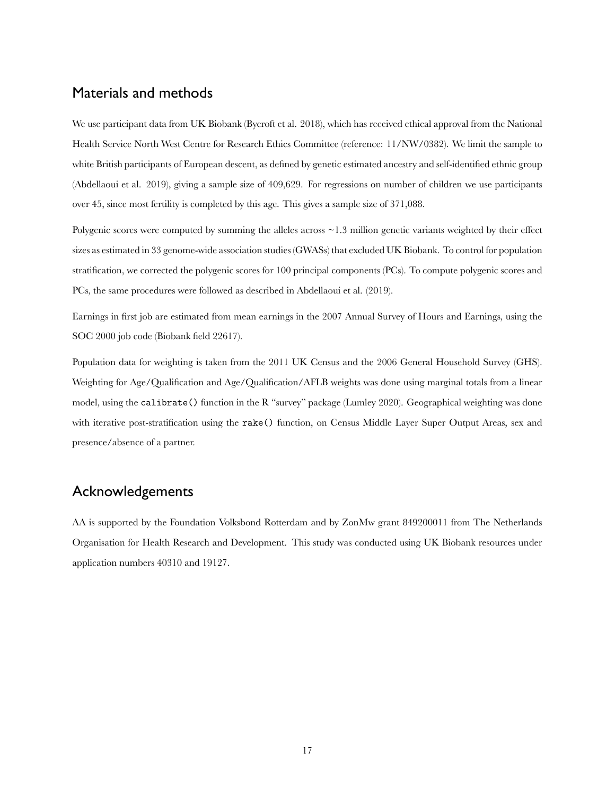## Materials and methods

We use participant data from UK Biobank (Bycroft et al. 2018), which has received ethical approval from the National Health Service North West Centre for Research Ethics Committee (reference: 11/NW/0382). We limit the sample to white British participants of European descent, as defined by genetic estimated ancestry and self-identified ethnic group (Abdellaoui et al. 2019), giving a sample size of 409,629. For regressions on number of children we use participants over 45, since most fertility is completed by this age. This gives a sample size of 371,088.

Polygenic scores were computed by summing the alleles across  $\sim$  1.3 million genetic variants weighted by their effect sizes as estimated in 33 genome-wide association studies (GWASs) that excluded UK Biobank. To control for population stratification, we corrected the polygenic scores for 100 principal components (PCs). To compute polygenic scores and PCs, the same procedures were followed as described in Abdellaoui et al. (2019).

Earnings in first job are estimated from mean earnings in the 2007 Annual Survey of Hours and Earnings, using the SOC 2000 job code (Biobank field 22617).

Population data for weighting is taken from the 2011 UK Census and the 2006 General Household Survey (GHS). Weighting for Age/Qualification and Age/Qualification/AFLB weights was done using marginal totals from a linear model, using the calibrate() function in the R "survey" package (Lumley 2020). Geographical weighting was done with iterative post-stratification using the rake() function, on Census Middle Layer Super Output Areas, sex and presence/absence of a partner.

# Acknowledgements

AA is supported by the Foundation Volksbond Rotterdam and by ZonMw grant 849200011 from The Netherlands Organisation for Health Research and Development. This study was conducted using UK Biobank resources under application numbers 40310 and 19127.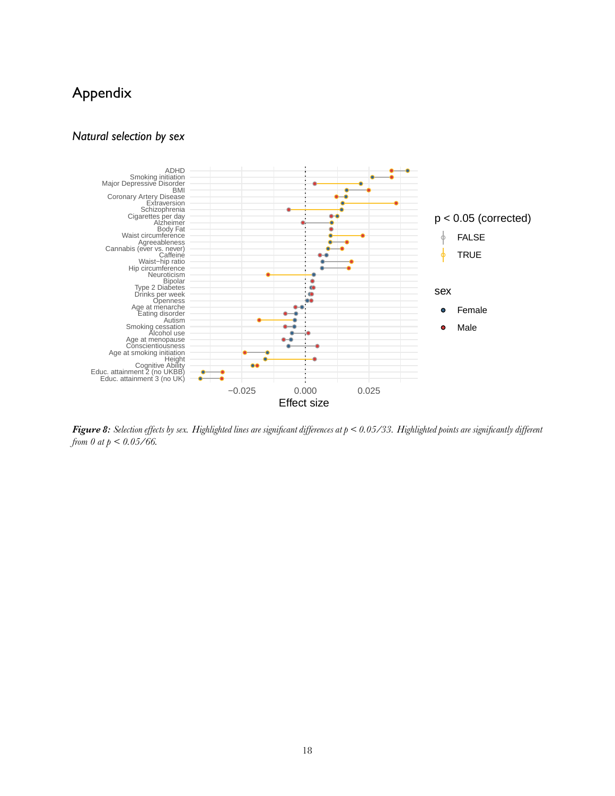# Appendix

### *Natural selection by sex*

<span id="page-18-0"></span>

*Figure 8: Selection effects by sex. Highlighted lines are significant differences at p < 0.05/33. Highlighted points are significantly different from 0 at p < 0.05/66.*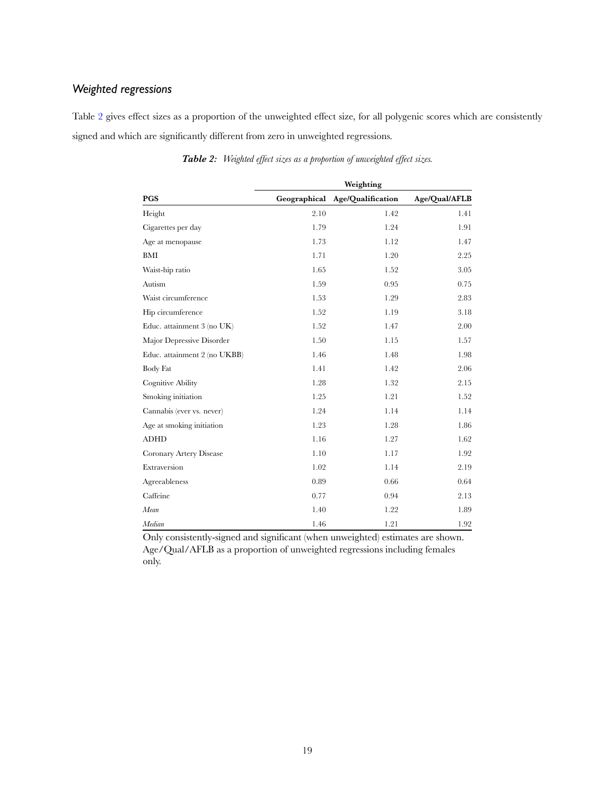## *Weighted regressions*

Table [2](#page-19-0) gives effect sizes as a proportion of the unweighted effect size, for all polygenic scores which are consistently signed and which are significantly different from zero in unweighted regressions.

<span id="page-19-0"></span>

| <b>PGS</b>                   |      |                                |               |
|------------------------------|------|--------------------------------|---------------|
|                              |      | Geographical Age/Qualification | Age/Qual/AFLB |
| Height                       | 2.10 | 1.42                           | 1.41          |
| Cigarettes per day           | 1.79 | 1.24                           | 1.91          |
| Age at menopause             | 1.73 | 1.12                           | 1.47          |
| BMI                          | 1.71 | 1.20                           | 2.25          |
| Waist-hip ratio              | 1.65 | 1.52                           | 3.05          |
| Autism                       | 1.59 | 0.95                           | 0.75          |
| Waist circumference          | 1.53 | 1.29                           | 2.83          |
| Hip circumference            | 1.52 | 1.19                           | 3.18          |
| Educ. attainment 3 (no UK)   | 1.52 | 1.47                           | 2.00          |
| Major Depressive Disorder    | 1.50 | 1.15                           | 1.57          |
| Educ. attainment 2 (no UKBB) | 1.46 | 1.48                           | 1.98          |
| <b>Body Fat</b>              | 1.41 | 1.42                           | 2.06          |
| <b>Cognitive Ability</b>     | 1.28 | 1.32                           | 2.15          |
| Smoking initiation           | 1.25 | 1.21                           | 1.52          |
| Cannabis (ever vs. never)    | 1.24 | 1.14                           | 1.14          |
| Age at smoking initiation    | 1.23 | 1.28                           | 1.86          |
| <b>ADHD</b>                  | 1.16 | 1.27                           | 1.62          |
| Coronary Artery Disease      | 1.10 | 1.17                           | 1.92          |
| Extraversion                 | 1.02 | 1.14                           | 2.19          |
| Agreeableness                | 0.89 | 0.66                           | 0.64          |
| Caffeine                     | 0.77 | 0.94                           | 2.13          |
| Mean                         | 1.40 | 1.22                           | 1.89          |
| Median                       | 1.46 | 1.21                           | 1.92          |

*Table 2: Weighted effect sizes as a proportion of unweighted effect sizes.*

Only consistently-signed and significant (when unweighted) estimates are shown. Age/Qual/AFLB as a proportion of unweighted regressions including females only.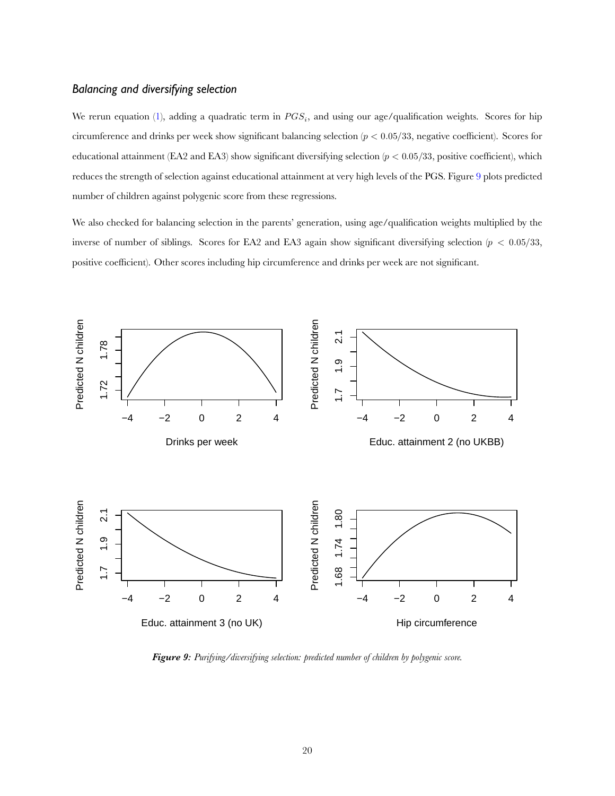### *Balancing and diversifying selection*

Wererun equation ([1\)](#page-2-0), adding a quadratic term in  $PGS_i$ , and using our age/qualification weights. Scores for hip circumference and drinks per week show significant balancing selection  $(p < 0.05/33$ , negative coefficient). Scores for educational attainment (EA2 and EA3) show significant diversifying selection ( $p < 0.05/33$ , positive coefficient), which reduces the strength of selection against educational attainment at very high levels of the PGS. Figure [9](#page-20-0) plots predicted number of children against polygenic score from these regressions.

We also checked for balancing selection in the parents' generation, using age/qualification weights multiplied by the inverse of number of siblings. Scores for EA2 and EA3 again show significant diversifying selection ( $p < 0.05/33$ , positive coefficient). Other scores including hip circumference and drinks per week are not significant.

<span id="page-20-0"></span>

*Figure 9: Purifying/diversifying selection: predicted number of children by polygenic score.*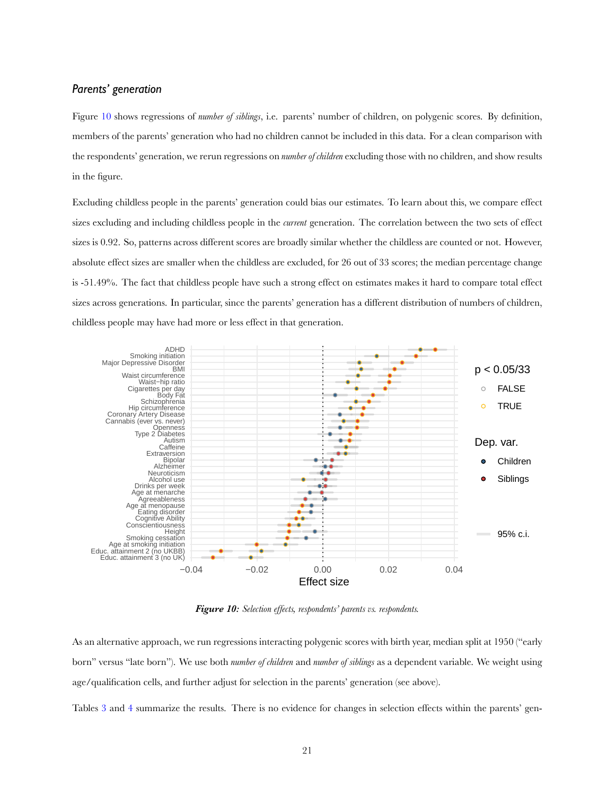### *Parents' generation*

Figure [10](#page-21-0) shows regressions of *number of siblings*, i.e. parents' number of children, on polygenic scores. By definition, members of the parents' generation who had no children cannot be included in this data. For a clean comparison with the respondents' generation, we rerun regressions on *number of children* excluding those with no children, and show results in the figure.

Excluding childless people in the parents' generation could bias our estimates. To learn about this, we compare effect sizes excluding and including childless people in the *current* generation. The correlation between the two sets of effect sizes is 0.92. So, patterns across different scores are broadly similar whether the childless are counted or not. However, absolute effect sizes are smaller when the childless are excluded, for 26 out of 33 scores; the median percentage change is -51.49%. The fact that childless people have such a strong effect on estimates makes it hard to compare total effect sizes across generations. In particular, since the parents' generation has a different distribution of numbers of children, childless people may have had more or less effect in that generation.

<span id="page-21-0"></span>

*Figure 10: Selection effects, respondents' parents vs. respondents.*

As an alternative approach, we run regressions interacting polygenic scores with birth year, median split at 1950 ("early born" versus "late born"). We use both *number of children* and *number of siblings* as a dependent variable. We weight using age/qualification cells, and further adjust for selection in the parents' generation (see above).

Tables [3](#page-22-1) and [4](#page-22-2) summarize the results. There is no evidence for changes in selection effects within the parents' gen-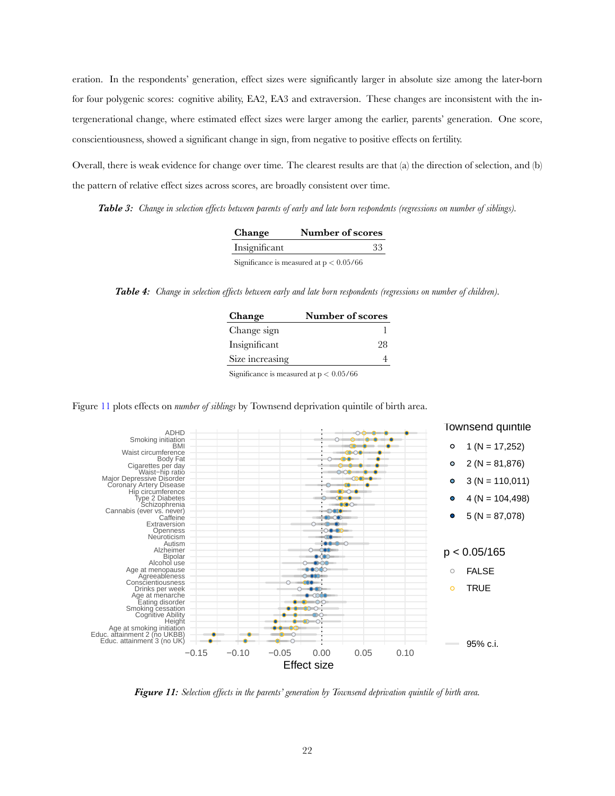eration. In the respondents' generation, effect sizes were significantly larger in absolute size among the later-born for four polygenic scores: cognitive ability, EA2, EA3 and extraversion. These changes are inconsistent with the intergenerational change, where estimated effect sizes were larger among the earlier, parents' generation. One score, conscientiousness, showed a significant change in sign, from negative to positive effects on fertility.

Overall, there is weak evidence for change over time. The clearest results are that (a) the direction of selection, and (b) the pattern of relative effect sizes across scores, are broadly consistent over time.

<span id="page-22-1"></span>*Table 3: Change in selection effects between parents of early and late born respondents (regressions on number of siblings).*

| <b>Change</b> | Number of scores                          |
|---------------|-------------------------------------------|
| Insignificant | 33                                        |
|               | Significance is measured at $p < 0.05/66$ |

<span id="page-22-2"></span>*Table 4: Change in selection effects between early and late born respondents (regressions on number of children).*

| Change          | Number of scores |  |
|-----------------|------------------|--|
| Change sign     |                  |  |
| Insignificant   | 28               |  |
| Size increasing |                  |  |
|                 |                  |  |

Significance is measured at  $p < 0.05/66$ 



<span id="page-22-0"></span>

*Figure 11: Selection effects in the parents' generation by Townsend deprivation quintile of birth area.*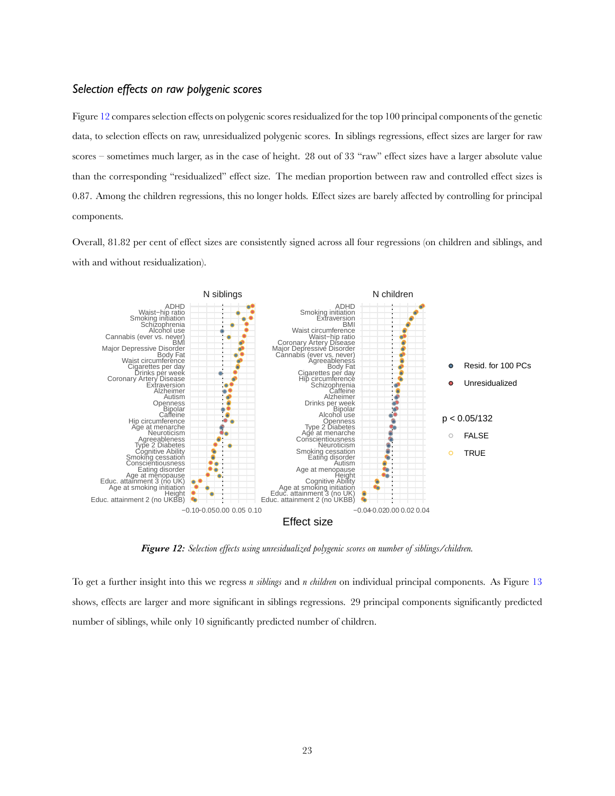#### *Selection effects on raw polygenic scores*

Figure [12](#page-23-0) compares selection effects on polygenic scores residualized for the top 100 principal components of the genetic data, to selection effects on raw, unresidualized polygenic scores. In siblings regressions, effect sizes are larger for raw scores – sometimes much larger, as in the case of height. 28 out of 33 "raw" effect sizes have a larger absolute value than the corresponding "residualized" effect size. The median proportion between raw and controlled effect sizes is 0.87. Among the children regressions, this no longer holds. Effect sizes are barely affected by controlling for principal components.

Overall, 81.82 per cent of effect sizes are consistently signed across all four regressions (on children and siblings, and with and without residualization).

<span id="page-23-0"></span>

*Figure 12: Selection effects using unresidualized polygenic scores on number of siblings/children.*

To get a further insight into this we regress *n siblings* and *n children* on individual principal components. As Figure [13](#page-24-0) shows, effects are larger and more significant in siblings regressions. 29 principal components significantly predicted number of siblings, while only 10 significantly predicted number of children.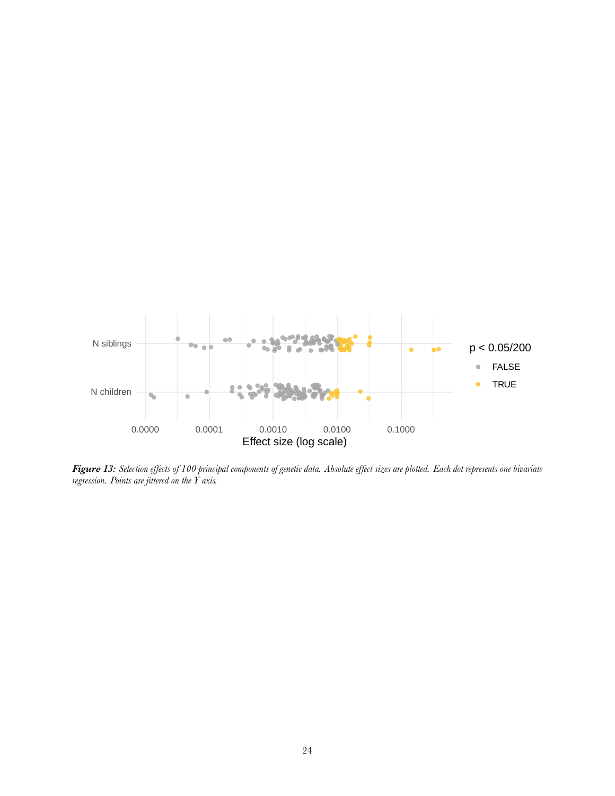<span id="page-24-0"></span>

*Figure 13: Selection effects of 100 principal components of genetic data. Absolute effect sizes are plotted. Each dot represents one bivariate regression. Points are jittered on the Y axis.*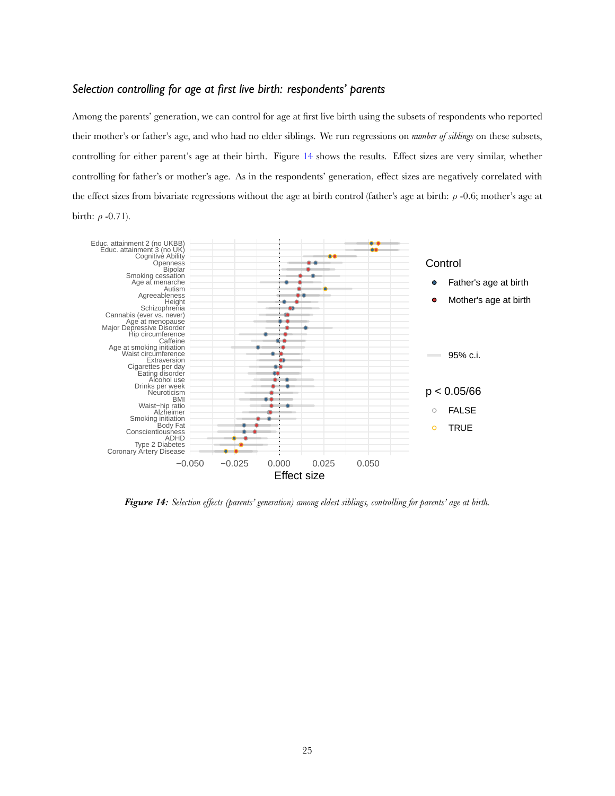### *Selection controlling for age at first live birth: respondents' parents*

Among the parents' generation, we can control for age at first live birth using the subsets of respondents who reported their mother's or father's age, and who had no elder siblings. We run regressions on *number of siblings* on these subsets, controlling for either parent's age at their birth. Figure [14](#page-25-0) shows the results. Effect sizes are very similar, whether controlling for father's or mother's age. As in the respondents' generation, effect sizes are negatively correlated with the effect sizes from bivariate regressions without the age at birth control (father's age at birth:  $\rho$  -0.6; mother's age at birth:  $\rho$  -0.71).

<span id="page-25-0"></span>

*Figure 14: Selection effects (parents' generation) among eldest siblings, controlling for parents' age at birth.*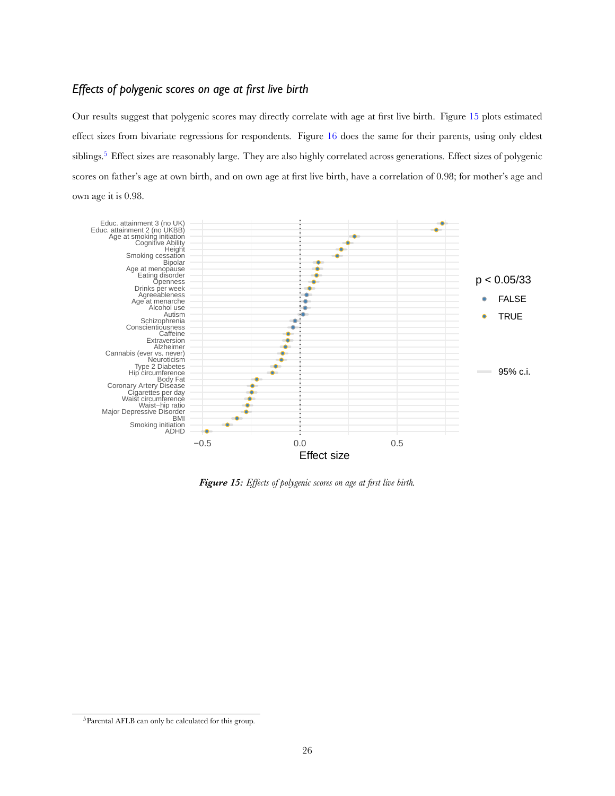### *Effects of polygenic scores on age at first live birth*

Our results suggest that polygenic scores may directly correlate with age at first live birth. Figure [15](#page-26-0) plots estimated effect sizes from bivariate regressions for respondents. Figure [16](#page-27-0) does the same for their parents, using only eldest siblings.<sup>5</sup> Effect sizes are reasonably large. They are also highly correlated across generations. Effect sizes of polygenic scores on father's age at own birth, and on own age at first live birth, have a correlation of 0.98; for mother's age and own age it is 0.98.

<span id="page-26-0"></span>

*Figure 15: Effects of polygenic scores on age at first live birth.*

 $^5\!$  Parental AFLB can only be calculated for this group.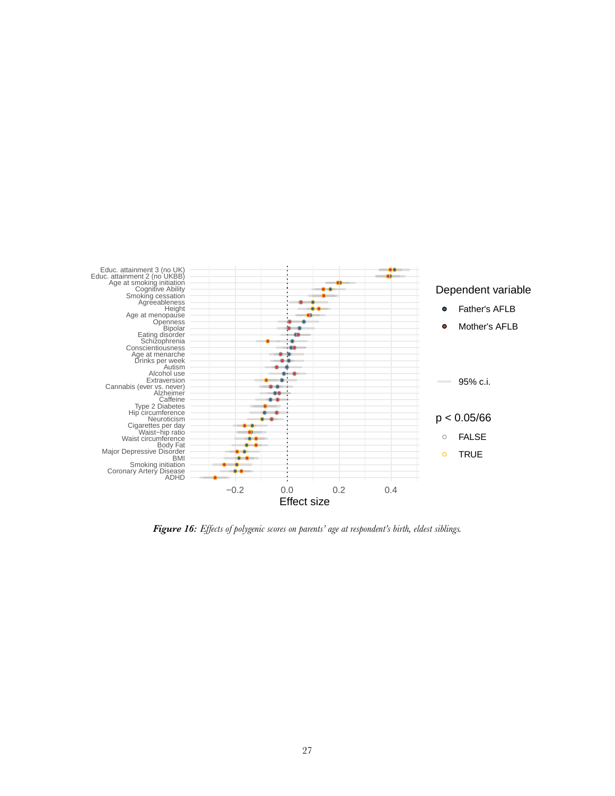<span id="page-27-0"></span>

*Figure 16: Effects of polygenic scores on parents' age at respondent's birth, eldest siblings.*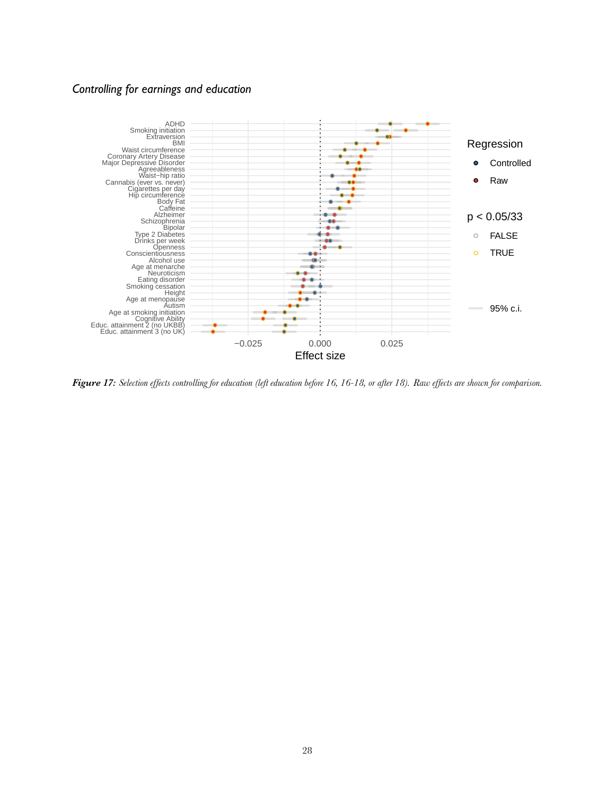### *Controlling for earnings and education*

<span id="page-28-0"></span>

*Figure 17: Selection effects controlling for education (left education before 16, 16-18, or after 18). Raw effects are shown for comparison.*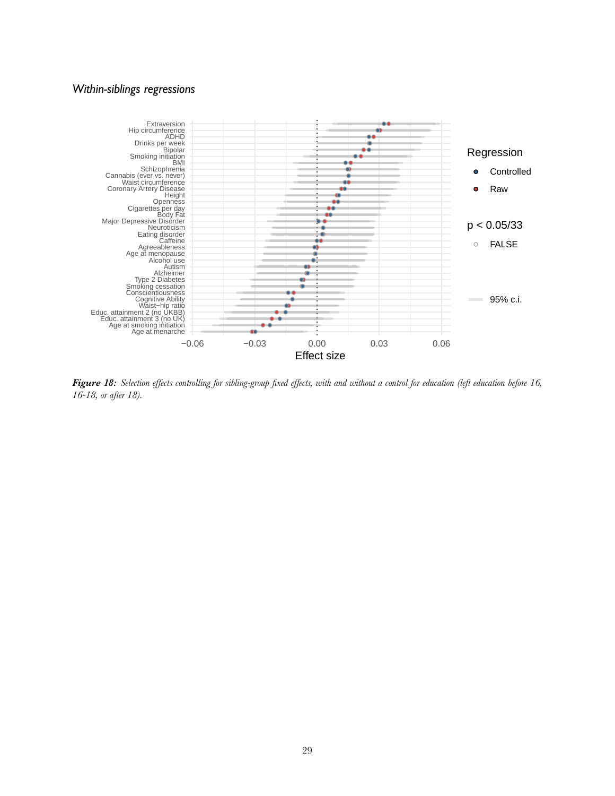### *Within-siblings regressions*

<span id="page-29-0"></span>

*Figure 18: Selection effects controlling for sibling-group fixed effects, with and without a control for education (left education before 16, 16-18, or after 18).*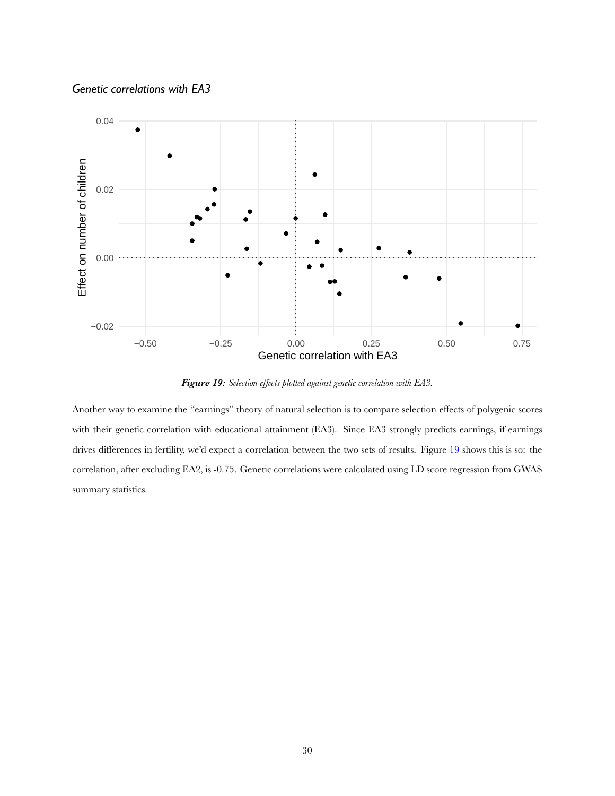

<span id="page-30-0"></span>

*Figure 19: Selection effects plotted against genetic correlation with EA3.*

Another way to examine the "earnings" theory of natural selection is to compare selection effects of polygenic scores with their genetic correlation with educational attainment (EA3). Since EA3 strongly predicts earnings, if earnings drives differences in fertility, we'd expect a correlation between the two sets of results. Figure [19](#page-30-0) shows this is so: the correlation, after excluding EA2, is -0.75. Genetic correlations were calculated using LD score regression from GWAS summary statistics.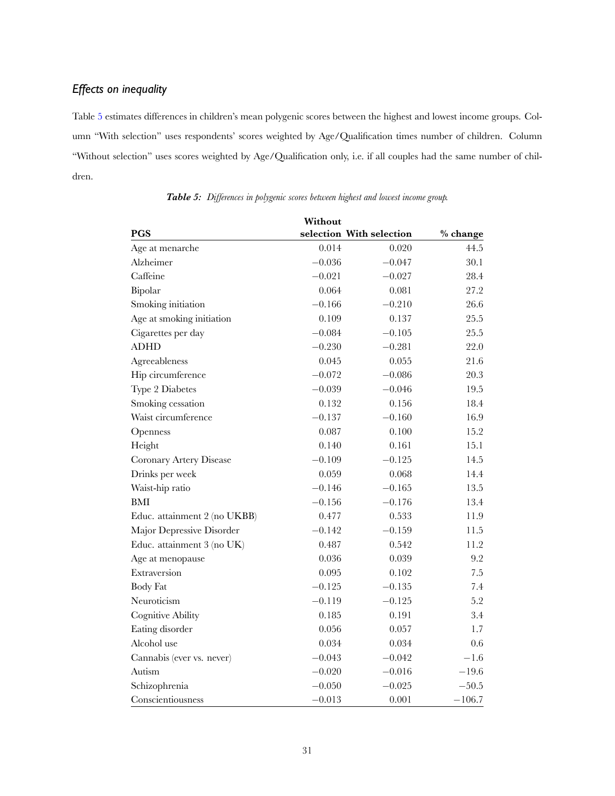# *Effects on inequality*

Table [5](#page-31-0) estimates differences in children's mean polygenic scores between the highest and lowest income groups. Column "With selection" uses respondents' scores weighted by Age/Qualification times number of children. Column "Without selection" uses scores weighted by Age/Qualification only, i.e. if all couples had the same number of children.

|                              | Without  |                          |            |
|------------------------------|----------|--------------------------|------------|
| PGS                          |          | selection With selection | $%$ change |
| Age at menarche              | 0.014    | 0.020                    | 44.5       |
| Alzheimer                    | $-0.036$ | $-0.047$                 | 30.1       |
| Caffeine                     | $-0.021$ | $-0.027$                 | 28.4       |
| Bipolar                      | 0.064    | 0.081                    | 27.2       |
| Smoking initiation           | $-0.166$ | $-0.210$                 | 26.6       |
| Age at smoking initiation    | 0.109    | 0.137                    | 25.5       |
| Cigarettes per day           | $-0.084$ | $-0.105$                 | 25.5       |
| <b>ADHD</b>                  | $-0.230$ | $-0.281$                 | 22.0       |
| Agreeableness                | 0.045    | 0.055                    | 21.6       |
| Hip circumference            | $-0.072$ | $-0.086$                 | 20.3       |
| Type 2 Diabetes              | $-0.039$ | $-0.046$                 | 19.5       |
| Smoking cessation            | 0.132    | 0.156                    | 18.4       |
| Waist circumference          | $-0.137$ | $-0.160$                 | 16.9       |
| Openness                     | 0.087    | 0.100                    | 15.2       |
| Height                       | 0.140    | 0.161                    | 15.1       |
| Coronary Artery Disease      | $-0.109$ | $-0.125$                 | 14.5       |
| Drinks per week              | 0.059    | 0.068                    | 14.4       |
| Waist-hip ratio              | $-0.146$ | $-0.165$                 | 13.5       |
| <b>BMI</b>                   | $-0.156$ | $-0.176$                 | 13.4       |
| Educ. attainment 2 (no UKBB) | 0.477    | 0.533                    | 11.9       |
| Major Depressive Disorder    | $-0.142$ | $-0.159$                 | 11.5       |
| Educ. attainment 3 (no UK)   | 0.487    | 0.542                    | 11.2       |
| Age at menopause             | 0.036    | 0.039                    | 9.2        |
| Extraversion                 | 0.095    | 0.102                    | 7.5        |
| <b>Body Fat</b>              | $-0.125$ | $-0.135$                 | 7.4        |
| Neuroticism                  | $-0.119$ | $-0.125$                 | 5.2        |
| Cognitive Ability            | 0.185    | 0.191                    | 3.4        |
| Eating disorder              | 0.056    | 0.057                    | 1.7        |
| Alcohol use                  | 0.034    | 0.034                    | 0.6        |
| Cannabis (ever vs. never)    | $-0.043$ | $-0.042$                 | $-1.6$     |
| Autism                       | $-0.020$ | $-0.016$                 | $-19.6$    |
| Schizophrenia                | $-0.050$ | $-0.025$                 | $-50.5$    |
| Conscientiousness            | $-0.013$ | 0.001                    | $-106.7$   |

<span id="page-31-0"></span>*Table 5: Differences in polygenic scores between highest and lowest income group.*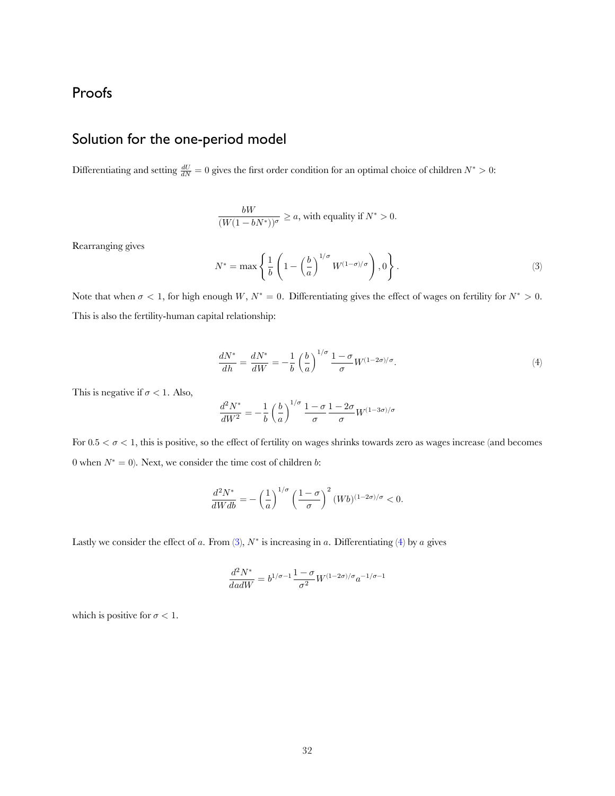# Proofs

# Solution for the one-period model

Differentiating and setting  $\frac{dU}{dN} = 0$  gives the first order condition for an optimal choice of children  $N^* > 0$ :

$$
\frac{bW}{(W(1-bN^*))^{\sigma}} \ge a
$$
, with equality if  $N^* > 0$ .

Rearranging gives

<span id="page-32-0"></span>
$$
N^* = \max\left\{\frac{1}{b}\left(1 - \left(\frac{b}{a}\right)^{1/\sigma} W^{(1-\sigma)/\sigma}\right), 0\right\}.
$$
 (3)

Note that when  $\sigma < 1$ , for high enough W,  $N^* = 0$ . Differentiating gives the effect of wages on fertility for  $N^* > 0$ . This is also the fertility-human capital relationship:

<span id="page-32-1"></span>
$$
\frac{dN^*}{dh} = \frac{dN^*}{dW} = -\frac{1}{b} \left(\frac{b}{a}\right)^{1/\sigma} \frac{1-\sigma}{\sigma} W^{(1-2\sigma)/\sigma}.\tag{4}
$$

This is negative if  $\sigma < 1$ . Also,

$$
\frac{d^2N^*}{dW^2} = -\frac{1}{b} \left(\frac{b}{a}\right)^{1/\sigma} \frac{1-\sigma}{\sigma} \frac{1-2\sigma}{\sigma} W^{(1-3\sigma)/\sigma}
$$

For  $0.5 < \sigma < 1$ , this is positive, so the effect of fertility on wages shrinks towards zero as wages increase (and becomes 0 when  $N^* = 0$ ). Next, we consider the time cost of children *b*:

$$
\frac{d^2N^*}{dWdb} = -\left(\frac{1}{a}\right)^{1/\sigma} \left(\frac{1-\sigma}{\sigma}\right)^2 (Wb)^{(1-2\sigma)/\sigma} < 0.
$$

Lastlywe consider the effect of a. From  $(3)$  $(3)$ ,  $N^*$  is increasing in a. Differentiating  $(4)$  by a gives

$$
\frac{d^2N^*}{dadW}=b^{1/\sigma-1}\frac{1-\sigma}{\sigma^2}W^{(1-2\sigma)/\sigma}a^{-1/\sigma-1}
$$

which is positive for  $\sigma < 1$ .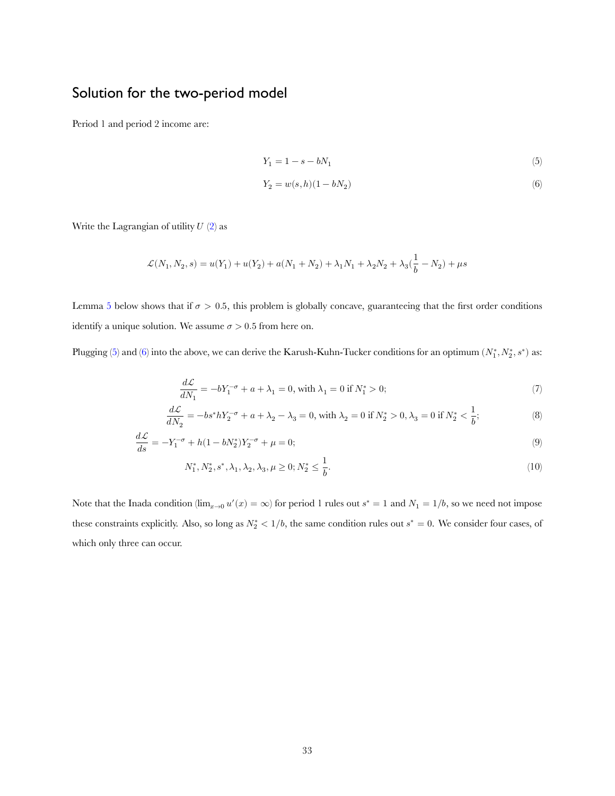# Solution for the two-period model

Period 1 and period 2 income are:

<span id="page-33-1"></span><span id="page-33-0"></span>
$$
Y_1 = 1 - s - bN_1 \tag{5}
$$

<span id="page-33-3"></span><span id="page-33-2"></span>
$$
Y_2=w(s,h)(1-bN_2)\eqno(6)
$$

Write the Lagrangian of utility  $U(2)$  $U(2)$  $U(2)$  as

$$
\mathcal{L}(N_1,N_2,s) = u(Y_1) + u(Y_2) + a(N_1 + N_2) + \lambda_1 N_1 + \lambda_2 N_2 + \lambda_3 (\frac{1}{b} - N_2) + \mu s
$$

Lemma [5](#page-40-0) below shows that if  $\sigma > 0.5$ , this problem is globally concave, guaranteeing that the first order conditions identify a unique solution. We assume  $\sigma > 0.5$  from here on.

Plugging([5\)](#page-33-0) and [\(6](#page-33-1)) into the above, we can derive the Karush-Kuhn-Tucker conditions for an optimum  $(N_1^*, N_2^*, s^*)$  as:

<span id="page-33-4"></span>
$$
\frac{d\mathcal{L}}{dN_1} = -bY_1^{-\sigma} + a + \lambda_1 = 0, \text{ with } \lambda_1 = 0 \text{ if } N_1^* > 0; \tag{7}
$$

$$
\frac{d\mathcal{L}}{dN_2} = -bs^*hY_2^{-\sigma} + a + \lambda_2 - \lambda_3 = 0, \text{ with } \lambda_2 = 0 \text{ if } N_2^* > 0, \lambda_3 = 0 \text{ if } N_2^* < \frac{1}{b};
$$
\n(8)

$$
\frac{d\mathcal{L}}{ds} = -Y_1^{-\sigma} + h(1 - bN_2^*)Y_2^{-\sigma} + \mu = 0; \tag{9}
$$

$$
N_1^*, N_2^*, s^*, \lambda_1, \lambda_2, \lambda_3, \mu \ge 0; N_2^* \le \frac{1}{b}.
$$
\n(10)

Note that the Inada condition ( $\lim_{x\to 0} u'(x) = \infty$ ) for period 1 rules out  $s^* = 1$  and  $N_1 = 1/b$ , so we need not impose these constraints explicitly. Also, so long as  $N_2^* < 1/b$ , the same condition rules out  $s^* = 0$ . We consider four cases, of which only three can occur.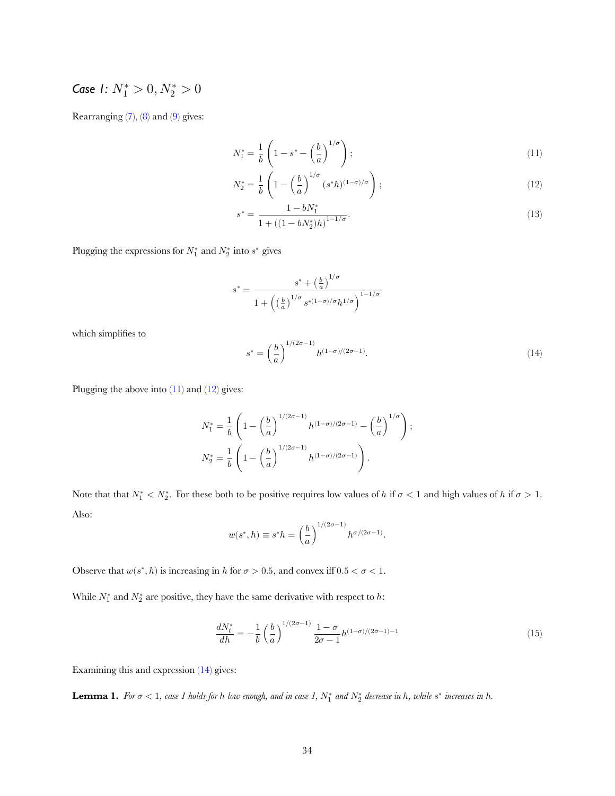# *Case 1:*  $N_1^* > 0, N_2^* > 0$

Rearranging $(7)$ ,  $(8)$  $(8)$  and  $(9)$  $(9)$  gives:

<span id="page-34-0"></span>
$$
N_1^* = \frac{1}{b} \left( 1 - s^* - \left(\frac{b}{a}\right)^{1/\sigma} \right); \tag{11}
$$

$$
N_2^* = \frac{1}{b} \left( 1 - \left(\frac{b}{a}\right)^{1/\sigma} (s^*h)^{(1-\sigma)/\sigma} \right); \tag{12}
$$

<span id="page-34-1"></span>
$$
s^* = \frac{1 - bN_1^*}{1 + \left((1 - bN_2^*)h\right)^{1 - 1/\sigma}}.\tag{13}
$$

Plugging the expressions for  $N_1^*$  and  $N_2^*$  into  $s^*$  gives

$$
s^*=\frac{s^*+\left(\frac{b}{a}\right)^{1/\sigma}}{1+\left(\left(\frac{b}{a}\right)^{1/\sigma} s^{*(1-\sigma)/\sigma} h^{1/\sigma}\right)^{1-1/\sigma}}
$$

which simplifies to

<span id="page-34-2"></span>
$$
s^* = \left(\frac{b}{a}\right)^{1/(2\sigma - 1)} h^{(1-\sigma)/(2\sigma - 1)}.
$$
 (14)

Pluggingthe above into  $(11)$  $(11)$  and  $(12)$  $(12)$  gives:

$$
\begin{split} N_1^*&=\frac{1}{b}\left(1-\left(\frac{b}{a}\right)^{1/(2\sigma-1)}h^{(1-\sigma)/(2\sigma-1)}-\left(\frac{b}{a}\right)^{1/\sigma}\right);\\ N_2^*&=\frac{1}{b}\left(1-\left(\frac{b}{a}\right)^{1/(2\sigma-1)}h^{(1-\sigma)/(2\sigma-1)}\right). \end{split}
$$

Note that that  $N_1^* < N_2^*$ . For these both to be positive requires low values of h if  $\sigma < 1$  and high values of h if  $\sigma > 1$ . Also:

$$
w(s^*,h)\equiv s^*h=\left(\frac{b}{a}\right)^{1/(2\sigma-1)}h^{\sigma/(2\sigma-1)}.
$$

Observe that  $w(s^*, h)$  is increasing in h for  $\sigma > 0.5$ , and convex iff  $0.5 < \sigma < 1$ .

While  $N_1^*$  and  $N_2^*$  are positive, they have the same derivative with respect to h:

<span id="page-34-4"></span>
$$
\frac{dN_t^*}{dh} = -\frac{1}{b} \left(\frac{b}{a}\right)^{1/(2\sigma - 1)} \frac{1 - \sigma}{2\sigma - 1} h^{(1 - \sigma)/(2\sigma - 1) - 1} \tag{15}
$$

Examining this and expression([14\)](#page-34-2) gives:

<span id="page-34-3"></span>**Lemma 1.** For  $\sigma < 1$ , case 1 holds for h low enough, and in case 1,  $N_1^*$  and  $N_2^*$  decrease in h, while  $s^*$  increases in h.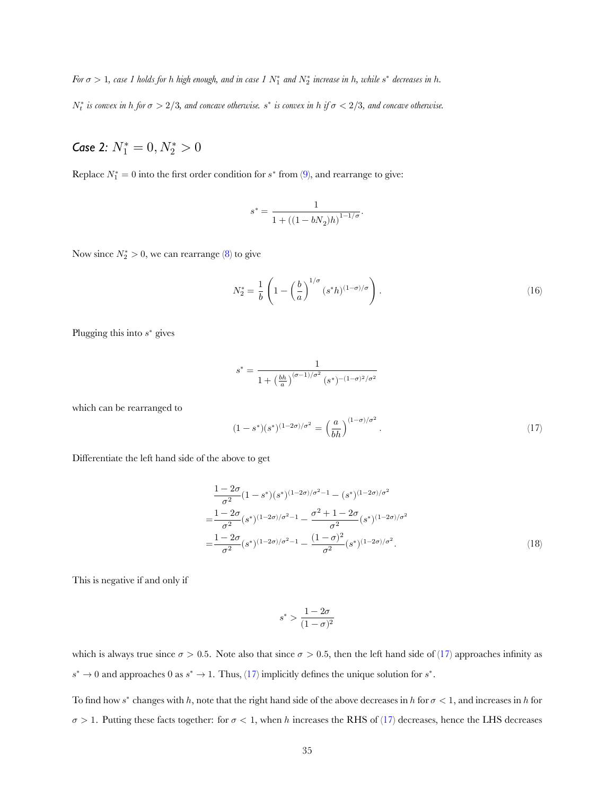*For*  $\sigma > 1$ , case 1 holds for h high enough, and in case 1  $N_1^*$  and  $N_2^*$  increase in h, while  $s^*$  decreases in h.

 $N_t^*$  is convex in h for  $\sigma > 2/3$ , and concave otherwise.  $s^*$  is convex in h if  $\sigma < 2/3$ , and concave otherwise.

# *Case 2:*  $N_1^* = 0, N_2^* > 0$

Replace $N_1^* = 0$  into the first order condition for  $s^*$  from ([9\)](#page-33-4), and rearrange to give:

$$
s^* = \frac{1}{1 + \left((1-bN_2)h\right)^{1-1/\sigma}}.
$$

Nowsince  $N_2^* > 0$ , we can rearrange ([8\)](#page-33-3) to give

<span id="page-35-1"></span>
$$
N_2^* = \frac{1}{b} \left( 1 - \left(\frac{b}{a}\right)^{1/\sigma} (s^*h)^{(1-\sigma)/\sigma} \right). \tag{16}
$$

Plugging this into  $s^*$  gives

$$
s^* = \frac{1}{1 + \left(\frac{bh}{a}\right)^{(\sigma - 1)/\sigma^2} (s^*)^{-(1 - \sigma)^2/\sigma^2}}
$$

which can be rearranged to

<span id="page-35-0"></span>
$$
(1 - s^*)(s^*)^{(1 - 2\sigma)/\sigma^2} = \left(\frac{a}{bh}\right)^{(1 - \sigma)/\sigma^2}.
$$
\n(17)

Differentiate the left hand side of the above to get

$$
\frac{1-2\sigma}{\sigma^2}(1-s^*)(s^*)^{(1-2\sigma)/\sigma^2-1} - (s^*)^{(1-2\sigma)/\sigma^2}
$$

$$
=\frac{1-2\sigma}{\sigma^2}(s^*)^{(1-2\sigma)/\sigma^2-1} - \frac{\sigma^2+1-2\sigma}{\sigma^2}(s^*)^{(1-2\sigma)/\sigma^2}
$$

$$
=\frac{1-2\sigma}{\sigma^2}(s^*)^{(1-2\sigma)/\sigma^2-1} - \frac{(1-\sigma)^2}{\sigma^2}(s^*)^{(1-2\sigma)/\sigma^2}.
$$
(18)

This is negative if and only if

$$
s^* > \frac{1-2\sigma}{(1-\sigma)^2}
$$

whichis always true since  $\sigma > 0.5$ . Note also that since  $\sigma > 0.5$ , then the left hand side of ([17\)](#page-35-0) approaches infinity as  $s^* \to 0$  $s^* \to 0$  $s^* \to 0$  and approaches 0 as  $s^* \to 1$ . Thus, ([17\)](#page-35-0) implicitly defines the unique solution for  $s^*$ .

To find how  $s^*$  changes with h, note that the right hand side of the above decreases in h for  $\sigma < 1$ , and increases in h for  $\sigma > 1$ . Putting these facts together: for  $\sigma < 1$ , when h increases the RHS of [\(17](#page-35-0)) decreases, hence the LHS decreases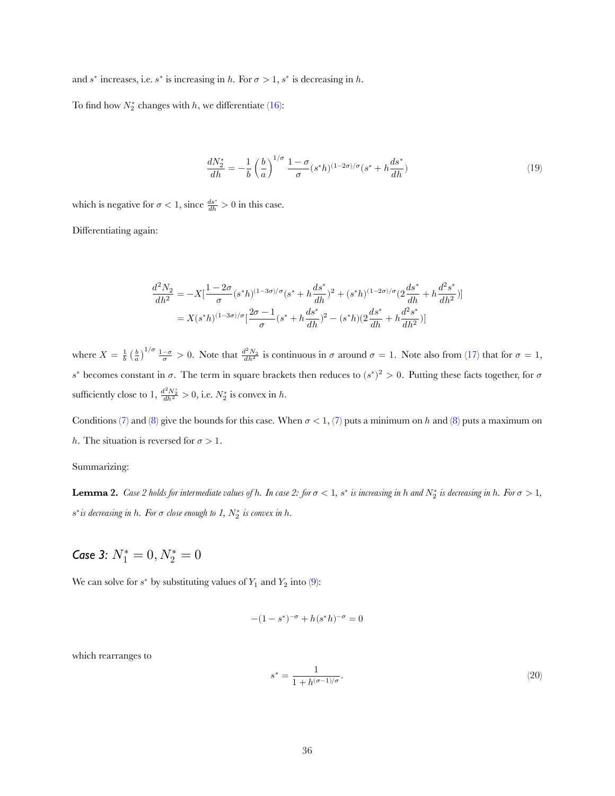and  $s^*$  increases, i.e.  $s^*$  is increasing in h. For  $\sigma > 1$ ,  $s^*$  is decreasing in h.

To find how  $N_2^*$  changes with h, we differentiate [\(16](#page-35-1)):

<span id="page-36-2"></span>
$$
\frac{dN_2^*}{dh} = -\frac{1}{b} \left(\frac{b}{a}\right)^{1/\sigma} \frac{1-\sigma}{\sigma} (s^*h)^{(1-2\sigma)/\sigma} (s^* + h\frac{ds^*}{dh})
$$
\n(19)

which is negative for  $\sigma < 1$ , since  $\frac{ds^*}{dh} > 0$  in this case.

Differentiating again:

$$
\begin{split} \frac{d^2N_2}{dh^2}&=-X[\frac{1-2\sigma}{\sigma}(s^*h)^{(1-3\sigma)/\sigma}(s^*+h\frac{ds^*}{dh})^2+(s^*h)^{(1-2\sigma)/\sigma}(2\frac{ds^*}{dh}+h\frac{d^2s^*}{dh^2})]\\&=X(s^*h)^{(1-3\sigma)/\sigma}[\frac{2\sigma-1}{\sigma}(s^*+h\frac{ds^*}{dh})^2-(s^*h)(2\frac{ds^*}{dh}+h\frac{d^2s^*}{dh^2})]\\ \end{split}
$$

where  $X = \frac{1}{b} \left(\frac{b}{a}\right)^{1/\sigma} \frac{1-\sigma}{\sigma} > 0$ . Note that  $\frac{d^2 N_2}{dh^2}$  is continuous in  $\sigma$  around  $\sigma = 1$ . Note also from [\(17](#page-35-0)) that for  $\sigma = 1$ ,  $s^*$  becomes constant in σ. The term in square brackets then reduces to  $(s^*)^2 > 0$ . Putting these facts together, for σ sufficiently close to 1,  $\frac{d^2 N_2^*}{dh^2} > 0$ , i.e.  $N_2^*$  is convex in h.

Conditions([7\)](#page-33-2) and [\(8](#page-33-3)) give the bounds for this case. When  $\sigma < 1$ , [\(7](#page-33-2)) puts a minimum on h and ([8\)](#page-33-3) puts a maximum on h. The situation is reversed for  $\sigma > 1$ .

Summarizing:

<span id="page-36-1"></span>**Lemma 2.** Case 2 holds for intermediate values of h. In case 2: for  $\sigma < 1$ ,  $s^*$  is increasing in h and  $N_2^*$  is decreasing in h. For  $\sigma > 1$ ,  $s^*$ *is decreasing in*  $h$ *. For*  $\sigma$  *close enough to* 1,  $N_2^*$  *is convex in*  $h$ *.* 

Case 3: 
$$
N_1^* = 0, N_2^* = 0
$$

Wecan solve for  $s^*$  by substituting values of  $Y_1$  and  $Y_2$  into ([9\)](#page-33-4):

$$
-(1 - s^*)^{-\sigma} + h(s^*h)^{-\sigma} = 0
$$

which rearranges to

<span id="page-36-0"></span>
$$
s^* = \frac{1}{1 + h^{(\sigma - 1)/\sigma}}.\tag{20}
$$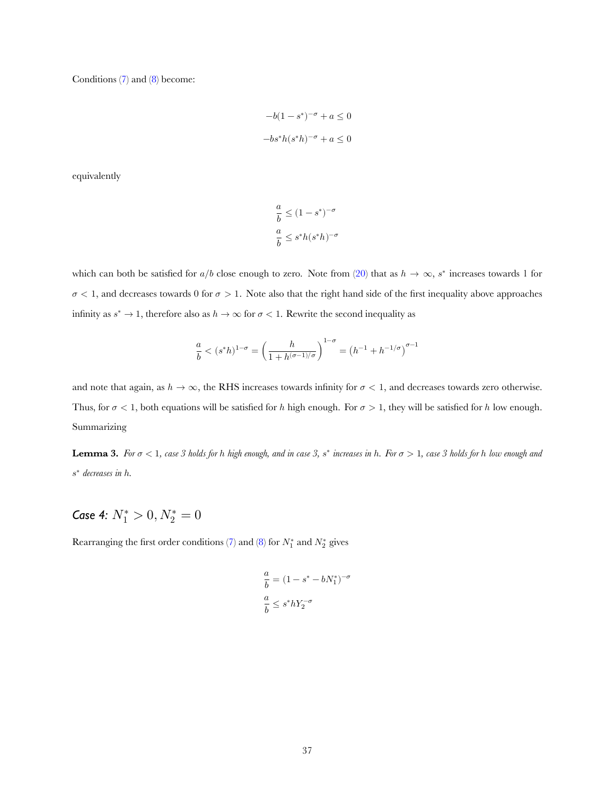Conditions([7\)](#page-33-2) and([8\)](#page-33-3) become:

$$
-b(1-s^*)^{-\sigma}+a\leq 0
$$
  

$$
-bs^*h(s^*h)^{-\sigma}+a\leq 0
$$

equivalently

$$
\frac{a}{b} \leq (1-s^*)^{-\sigma}
$$
  

$$
\frac{a}{b} \leq s^*h(s^*h)^{-\sigma}
$$

whichcan both be satisfied for  $a/b$  close enough to zero. Note from ([20\)](#page-36-0) that as  $h \to \infty$ , s<sup>\*</sup> increases towards 1 for  $\sigma$  < 1, and decreases towards 0 for  $\sigma > 1$ . Note also that the right hand side of the first inequality above approaches infinity as  $s^* \to 1$ , therefore also as  $h \to \infty$  for  $\sigma < 1$ . Rewrite the second inequality as

$$
\frac{a}{b} < (s^*h)^{1-\sigma} = \left(\frac{h}{1+h^{(\sigma-1)/\sigma}}\right)^{1-\sigma} = \left(h^{-1}+h^{-1/\sigma}\right)^{\sigma-1}
$$

and note that again, as  $h \to \infty$ , the RHS increases towards infinity for  $\sigma < 1$ , and decreases towards zero otherwise. Thus, for  $\sigma$  < 1, both equations will be satisfied for h high enough. For  $\sigma$  > 1, they will be satisfied for h low enough. Summarizing

<span id="page-37-0"></span>**Lemma 3.** For  $\sigma < 1$ , case 3 holds for h high enough, and in case 3, s<sup>\*</sup> increases in h. For  $\sigma > 1$ , case 3 holds for h low enough and ∗ *decreases in* ℎ*.*

# *Case 4:*  $N_1^* > 0, N_2^* = 0$

Rearrangingthe first order conditions ([7\)](#page-33-2) and ([8](#page-33-3)) for  $N_1^*$  and  $N_2^*$  gives

$$
\label{eq:1D1V:0} \begin{split} \frac{a}{b} &= (1-s^*-bN_1^*)^{-\sigma} \\ \frac{a}{b} &\leq s^*hY_2^{-\sigma} \end{split}
$$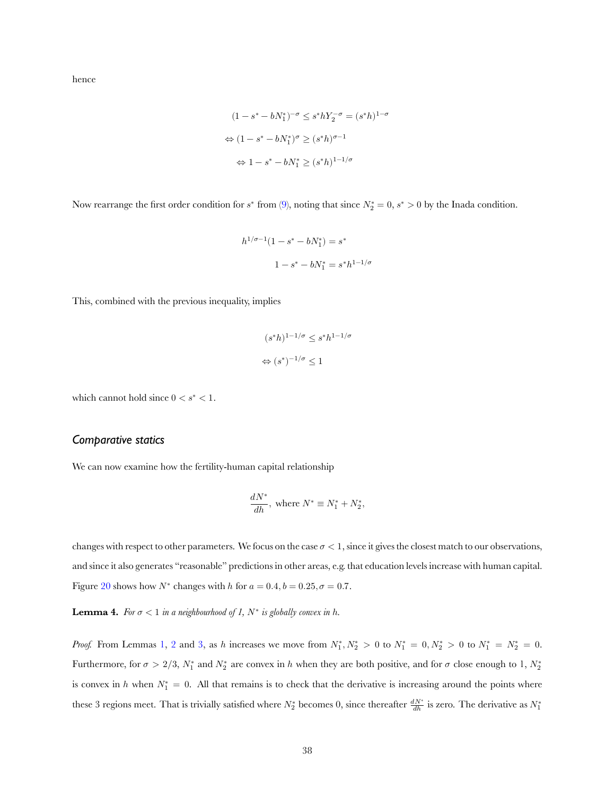hence

$$
(1 - s^* - bN_1^*)^{-\sigma} \le s^* h Y_2^{-\sigma} = (s^* h)^{1-\sigma}
$$

$$
\Leftrightarrow (1 - s^* - bN_1^*)^{\sigma} \ge (s^* h)^{\sigma - 1}
$$

$$
\Leftrightarrow 1 - s^* - bN_1^* \ge (s^* h)^{1 - 1/\sigma}
$$

Now rearrange the first order condition for  $s^*$  from [\(9](#page-33-4)), noting that since  $N_2^* = 0$ ,  $s^* > 0$  by the Inada condition.

$$
h^{1/\sigma-1}(1-s^*-bN_1^*)=s^*
$$
  

$$
1-s^*-bN_1^*=s^*h^{1-1/\sigma}
$$

This, combined with the previous inequality, implies

$$
(s^*h)^{1-1/\sigma} \le s^*h^{1-1/\sigma}
$$
  

$$
\Leftrightarrow (s^*)^{-1/\sigma} \le 1
$$

which cannot hold since  $0 < s^* < 1$ .

#### *Comparative statics*

We can now examine how the fertility-human capital relationship

$$
\frac{dN^*}{dh},\text{ where }N^*\equiv N_1^*+N_2^*,
$$

changes with respect to other parameters. We focus on the case  $\sigma < 1$ , since it gives the closest match to our observations, and since it also generates "reasonable" predictions in other areas, e.g. that education levels increase with human capital. Figure [20](#page-39-0) shows how  $N^*$  changes with h for  $a = 0.4$ ,  $b = 0.25$ ,  $\sigma = 0.7$ .

**Lemma 4.** For  $\sigma < 1$  in a neighbourhood of 1,  $N^*$  is globally convex in h.

*Proof.* From Lemmas [1](#page-34-3), [2](#page-36-1) and [3](#page-37-0), as h increases we move from  $N_1^*, N_2^* > 0$  to  $N_1^* = 0, N_2^* > 0$  to  $N_1^* = N_2^* = 0$ . Furthermore, for  $\sigma > 2/3$ ,  $N_1^*$  and  $N_2^*$  are convex in h when they are both positive, and for  $\sigma$  close enough to 1,  $N_2^*$ is convex in h when  $N_1^* = 0$ . All that remains is to check that the derivative is increasing around the points where these 3 regions meet. That is trivially satisfied where  $N_2^*$  becomes 0, since thereafter  $\frac{dN^*}{dh}$  is zero. The derivative as  $N_1^*$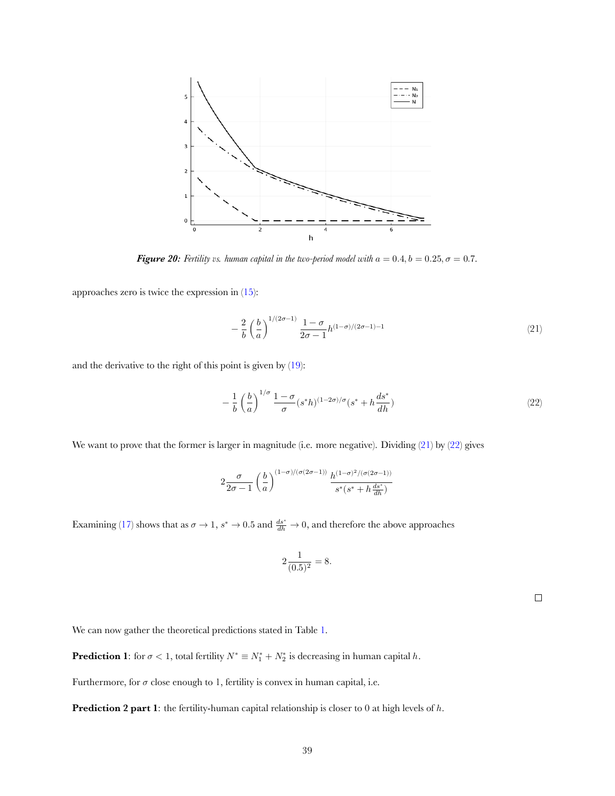<span id="page-39-0"></span>

*Figure 20: Fertility vs. human capital in the two-period model with*  $a = 0.4, b = 0.25, \sigma = 0.7$ .

approaches zero is twice the expression in [\(15](#page-34-4)):

<span id="page-39-1"></span>
$$
-\frac{2}{b}\left(\frac{b}{a}\right)^{1/(2\sigma-1)}\frac{1-\sigma}{2\sigma-1}h^{(1-\sigma)/(2\sigma-1)-1}
$$
\n(21)

and the derivative to the right of this point is given by [\(19](#page-36-2)):

<span id="page-39-2"></span>
$$
-\frac{1}{b}\left(\frac{b}{a}\right)^{1/\sigma}\frac{1-\sigma}{\sigma}(s^*h)^{(1-2\sigma)/\sigma}(s^*+h\frac{ds^*}{dh})\tag{22}
$$

We want to prove that the former is larger in magnitude (i.e. more negative). Dividing([21\)](#page-39-1) by [\(22](#page-39-2)) gives

$$
2\frac{\sigma}{2\sigma-1}\left(\frac{b}{a}\right)^{(1-\sigma)/(\sigma(2\sigma-1))}\frac{h^{(1-\sigma)^2/(\sigma(2\sigma-1))}}{s^*(s^*+h\frac{ds^*}{dh})}
$$

Examining([17\)](#page-35-0) shows that as  $\sigma \to 1$ ,  $s^* \to 0.5$  and  $\frac{ds^*}{dh} \to 0$ , and therefore the above approaches

$$
2\frac{1}{(0.5)^2} = 8.
$$

 $\Box$ 

We can now gather the theoretical predictions stated in Table [1.](#page-12-0)

**Prediction 1**: for  $\sigma < 1$ , total fertility  $N^* \equiv N_1^* + N_2^*$  is decreasing in human capital h.

Furthermore, for  $\sigma$  close enough to 1, fertility is convex in human capital, i.e.

**Prediction 2 part 1**: the fertility-human capital relationship is closer to 0 at high levels of h.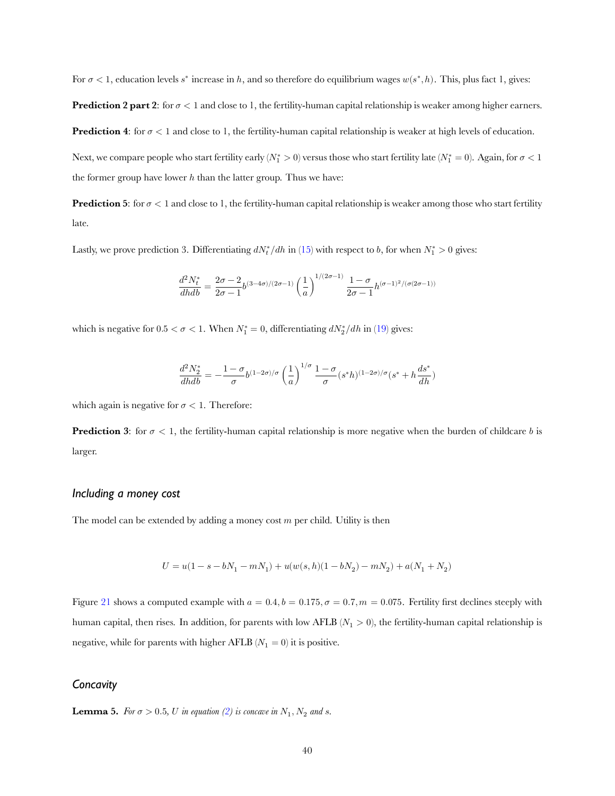For  $\sigma < 1$ , education levels  $s^*$  increase in h, and so therefore do equilibrium wages  $w(s^*, h)$ . This, plus fact 1, gives:

**Prediction 2 part 2:** for  $\sigma < 1$  and close to 1, the fertility-human capital relationship is weaker among higher earners.

**Prediction 4:** for  $\sigma$  < 1 and close to 1, the fertility-human capital relationship is weaker at high levels of education.

Next, we compare people who start fertility early  $(N_1^*>0)$  versus those who start fertility late  $(N_1^*=0)$ . Again, for  $\sigma<1$ the former group have lower  $h$  than the latter group. Thus we have:

**Prediction 5**: for  $\sigma$  < 1 and close to 1, the fertility-human capital relationship is weaker among those who start fertility late.

Lastly,we prove prediction 3. Differentiating  $dN_t^*/dh$  in ([15\)](#page-34-4) with respect to b, for when  $N_1^* > 0$  gives:

$$
\frac{d^2N_t^*}{dhdb} = \frac{2\sigma-2}{2\sigma-1} b^{(3-4\sigma)/(2\sigma-1)} \left(\frac{1}{a}\right)^{1/(2\sigma-1)} \frac{1-\sigma}{2\sigma-1} h^{(\sigma-1)^2/(\sigma(2\sigma-1))}
$$

whichis negative for  $0.5 < \sigma < 1$ . When  $N_1^* = 0$ , differentiating  $dN_2^* / dh$  in ([19\)](#page-36-2) gives:

$$
\frac{d^2N_2^*}{dhdb}=-\frac{1-\sigma}{\sigma}b^{(1-2\sigma)/\sigma}\left(\frac{1}{a}\right)^{1/\sigma}\frac{1-\sigma}{\sigma}(s^*h)^{(1-2\sigma)/\sigma}(s^*+h\frac{ds^*}{dh})
$$

which again is negative for  $\sigma < 1$ . Therefore:

**Prediction 3**: for  $\sigma < 1$ , the fertility-human capital relationship is more negative when the burden of childcare *b* is larger.

#### *Including a money cost*

The model can be extended by adding a money cost  $m$  per child. Utility is then

$$
U=u(1-s-bN_1-mN_1)+u(w(s,h)(1-bN_2)-mN_2)+a(N_1+N_2)\\
$$

Figure [21](#page-41-0) shows a computed example with  $a = 0.4$ ,  $b = 0.175$ ,  $\sigma = 0.7$ ,  $m = 0.075$ . Fertility first declines steeply with human capital, then rises. In addition, for parents with low AFLB ( $N_1 > 0$ ), the fertility-human capital relationship is negative, while for parents with higher AFLB ( $N_1 = 0$ ) it is positive.

#### *Concavity*

<span id="page-40-0"></span>**Lemma5.** For  $\sigma > 0.5$ , U in equation ([2\)](#page-12-1) is concave in  $N_1$ ,  $N_2$  and *s*.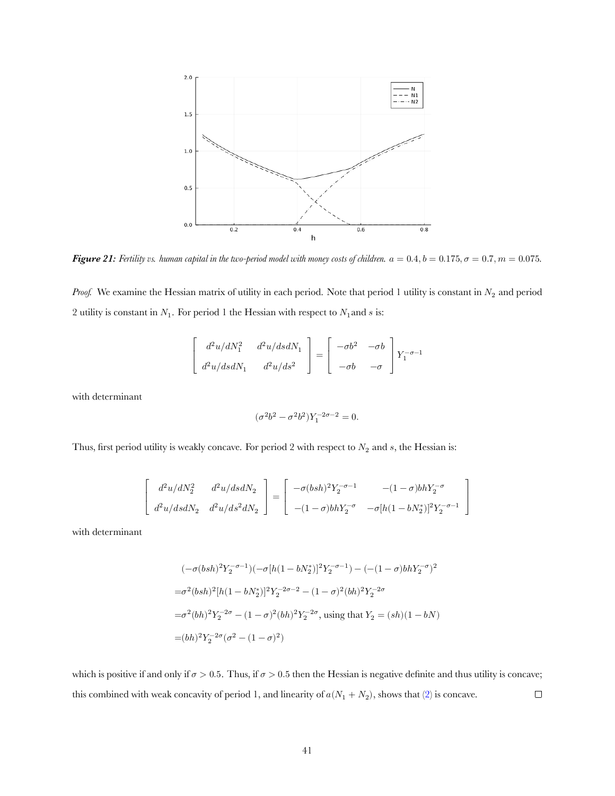<span id="page-41-0"></span>

*Figure 21: Fertility vs. human capital in the two-period model with money costs of children.*  $a = 0.4, b = 0.175, \sigma = 0.7, m = 0.075$ .

*Proof.* We examine the Hessian matrix of utility in each period. Note that period 1 utility is constant in  $N_2$  and period 2 utility is constant in  $N_1$ . For period 1 the Hessian with respect to  $N_1$  and s is:

$$
\begin{bmatrix} d^2u/dN_1^2 & d^2u/dsdN_1 \ d^2u/dsdN_1 & d^2u/ds^2 \end{bmatrix} = \begin{bmatrix} -\sigma b^2 & -\sigma b \ -\sigma b & -\sigma \end{bmatrix} Y_1^{-\sigma - 1}
$$

with determinant

$$
(\sigma^2b^2-\sigma^2b^2)Y_1^{-2\sigma-2}=0.
$$

Thus, first period utility is weakly concave. For period 2 with respect to  $N_2$  and s, the Hessian is:

$$
\left[ \begin{array}{cc} d^2u/dN_2^2 & d^2u/dsdN_2 \\[0.4cm] d^2u/dsdN_2 & d^2u/ds^2dN_2 \end{array} \right] = \left[ \begin{array}{cc} -\sigma(bsh)^2Y_2^{-\sigma-1} & -(1-\sigma)bhY_2^{-\sigma} \\[0.4cm] -(1-\sigma)bhY_2^{-\sigma} & -\sigma[h(1-bN_2^*)]^2Y_2^{-\sigma-1} \end{array} \right]
$$

with determinant

$$
\begin{array}{l}(-\sigma(bsh)^2Y_2^{-\sigma-1})(-\sigma[h(1-bN_2^*)]^2Y_2^{-\sigma-1})-(- (1-\sigma) b h Y_2^{-\sigma})^2\\ \\=\sigma^2(bsh)^2[h(1-bN_2^*)]^2Y_2^{-2\sigma-2}-(1-\sigma)^2(bh)^2Y_2^{-2\sigma}\\ \\=\sigma^2(bh)^2Y_2^{-2\sigma}-(1-\sigma)^2(bh)^2Y_2^{-2\sigma}, \text{ using that }Y_2=(sh)(1-bN)\\ \\=(bh)^2Y_2^{-2\sigma}(\sigma^2-(1-\sigma)^2)\end{array}
$$

which is positive if and only if  $\sigma > 0.5$ . Thus, if  $\sigma > 0.5$  then the Hessian is negative definite and thus utility is concave;  $\Box$ this combined with weak concavity of period 1, and linearity of  $a(N_1 + N_2)$ , shows that [\(2](#page-12-1)) is concave.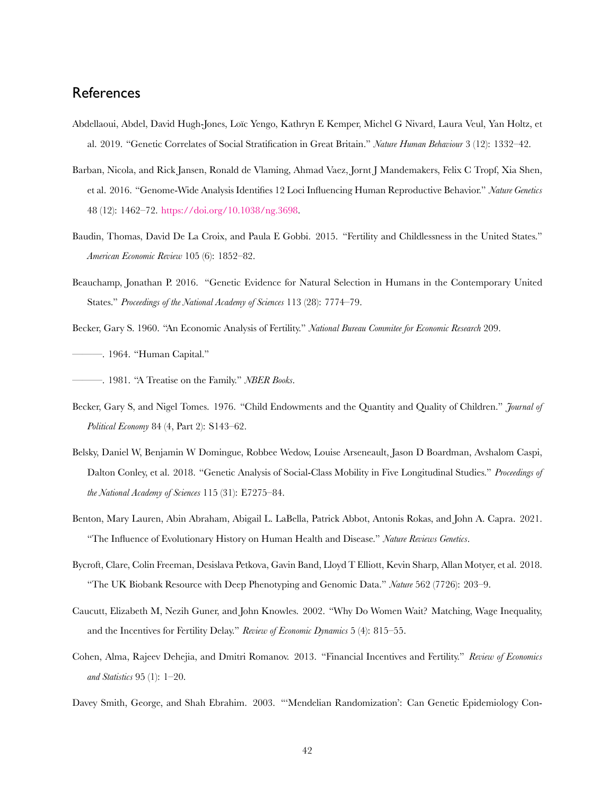# **References**

- Abdellaoui, Abdel, David Hugh-Jones, Loıc Yengo, Kathryn E Kemper, Michel G Nivard, Laura Veul, Yan Holtz, et ̈ al. 2019. "Genetic Correlates of Social Stratification in Great Britain." *Nature Human Behaviour* 3 (12): 1332–42.
- Barban, Nicola, and Rick Jansen, Ronald de Vlaming, Ahmad Vaez, Jornt J Mandemakers, Felix C Tropf, Xia Shen, et al. 2016. "Genome-Wide Analysis Identifies 12 Loci Influencing Human Reproductive Behavior." *Nature Genetics* 48 (12): 1462–72. [https://doi.org/10.1038/ng.3698.](https://doi.org/10.1038/ng.3698)
- Baudin, Thomas, David De La Croix, and Paula E Gobbi. 2015. "Fertility and Childlessness in the United States." *American Economic Review* 105 (6): 1852–82.
- Beauchamp, Jonathan P. 2016. "Genetic Evidence for Natural Selection in Humans in the Contemporary United States." *Proceedings of the National Academy of Sciences* 113 (28): 7774–79.
- Becker, Gary S. 1960. "An Economic Analysis of Fertility." *National Bureau Commitee for Economic Research* 209. ———. 1964. "Human Capital."
- ———. 1981. "A Treatise on the Family." *NBER Books*.
- Becker, Gary S, and Nigel Tomes. 1976. "Child Endowments and the Quantity and Quality of Children." *Journal of Political Economy* 84 (4, Part 2): S143–62.
- Belsky, Daniel W, Benjamin W Domingue, Robbee Wedow, Louise Arseneault, Jason D Boardman, Avshalom Caspi, Dalton Conley, et al. 2018. "Genetic Analysis of Social-Class Mobility in Five Longitudinal Studies." *Proceedings of the National Academy of Sciences* 115 (31): E7275–84.
- Benton, Mary Lauren, Abin Abraham, Abigail L. LaBella, Patrick Abbot, Antonis Rokas, and John A. Capra. 2021. "The Influence of Evolutionary History on Human Health and Disease." *Nature Reviews Genetics*.
- Bycroft, Clare, Colin Freeman, Desislava Petkova, Gavin Band, Lloyd T Elliott, Kevin Sharp, Allan Motyer, et al. 2018. "The UK Biobank Resource with Deep Phenotyping and Genomic Data." *Nature* 562 (7726): 203–9.
- Caucutt, Elizabeth M, Nezih Guner, and John Knowles. 2002. "Why Do Women Wait? Matching, Wage Inequality, and the Incentives for Fertility Delay." *Review of Economic Dynamics* 5 (4): 815–55.
- Cohen, Alma, Rajeev Dehejia, and Dmitri Romanov. 2013. "Financial Incentives and Fertility." *Review of Economics and Statistics* 95 (1): 1–20.
- Davey Smith, George, and Shah Ebrahim. 2003. "'Mendelian Randomization': Can Genetic Epidemiology Con-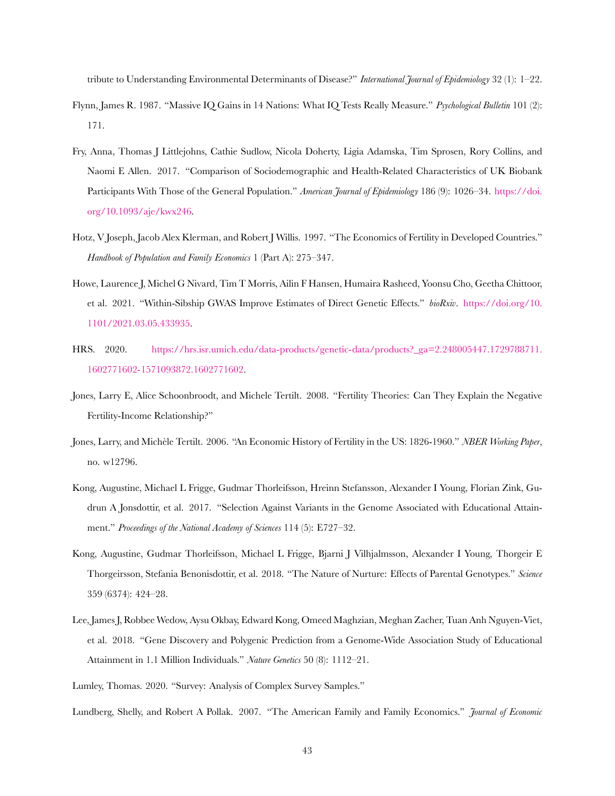tribute to Understanding Environmental Determinants of Disease?" *International Journal of Epidemiology* 32 (1): 1–22.

- Flynn, James R. 1987. "Massive IQ Gains in 14 Nations: What IQ Tests Really Measure." *Psychological Bulletin* 101 (2): 171.
- Fry, Anna, Thomas J Littlejohns, Cathie Sudlow, Nicola Doherty, Ligia Adamska, Tim Sprosen, Rory Collins, and Naomi E Allen. 2017. "Comparison of Sociodemographic and Health-Related Characteristics of UK Biobank Participants With Those of the General Population." *American Journal of Epidemiology* 186 (9): 1026–34. [https://doi.](https://doi.org/10.1093/aje/kwx246) [org/10.1093/aje/kwx246.](https://doi.org/10.1093/aje/kwx246)
- Hotz, V Joseph, Jacob Alex Klerman, and Robert J Willis. 1997. "The Economics of Fertility in Developed Countries." *Handbook of Population and Family Economics* 1 (Part A): 275–347.
- Howe, Laurence J, Michel G Nivard, Tim T Morris, Ailin F Hansen, Humaira Rasheed, Yoonsu Cho, Geetha Chittoor, et al. 2021. "Within-Sibship GWAS Improve Estimates of Direct Genetic Effects." *bioRxiv*. [https://doi.org/10.](https://doi.org/10.1101/2021.03.05.433935) [1101/2021.03.05.433935](https://doi.org/10.1101/2021.03.05.433935).
- HRS. 2020. [https://hrs.isr.umich.edu/data-products/genetic-data/products?\\_ga=2.248005447.1729788711.](https://hrs.isr.umich.edu/data-products/genetic-data/products?_ga=2.248005447.1729788711.1602771602-1571093872.1602771602) [1602771602-1571093872.1602771602](https://hrs.isr.umich.edu/data-products/genetic-data/products?_ga=2.248005447.1729788711.1602771602-1571093872.1602771602).
- Jones, Larry E, Alice Schoonbroodt, and Michele Tertilt. 2008. "Fertility Theories: Can They Explain the Negative Fertility-Income Relationship?"
- Jones, Larry, and Michèle Tertilt. 2006. "An Economic History of Fertility in the US: 1826-1960." *NBER Working Paper*, no. w12796.
- Kong, Augustine, Michael L Frigge, Gudmar Thorleifsson, Hreinn Stefansson, Alexander I Young, Florian Zink, Gudrun A Jonsdottir, et al. 2017. "Selection Against Variants in the Genome Associated with Educational Attainment." *Proceedings of the National Academy of Sciences* 114 (5): E727–32.
- Kong, Augustine, Gudmar Thorleifsson, Michael L Frigge, Bjarni J Vilhjalmsson, Alexander I Young, Thorgeir E Thorgeirsson, Stefania Benonisdottir, et al. 2018. "The Nature of Nurture: Effects of Parental Genotypes." *Science* 359 (6374): 424–28.
- Lee, James J, Robbee Wedow, Aysu Okbay, Edward Kong, Omeed Maghzian, Meghan Zacher, Tuan Anh Nguyen-Viet, et al. 2018. "Gene Discovery and Polygenic Prediction from a Genome-Wide Association Study of Educational Attainment in 1.1 Million Individuals." *Nature Genetics* 50 (8): 1112–21.
- Lumley, Thomas. 2020. "Survey: Analysis of Complex Survey Samples."

Lundberg, Shelly, and Robert A Pollak. 2007. "The American Family and Family Economics." *Journal of Economic*